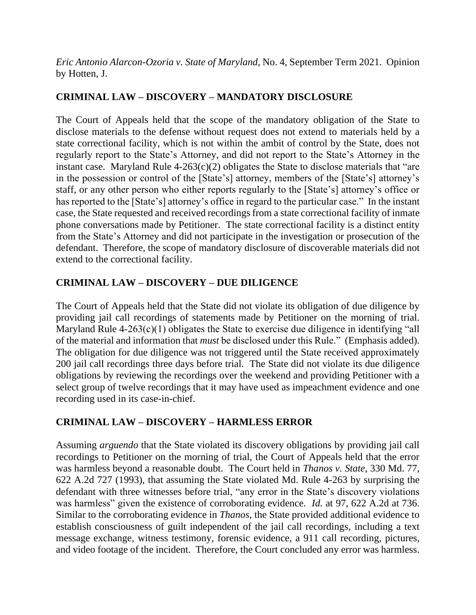*Eric Antonio Alarcon-Ozoria v. State of Maryland*, No. 4, September Term 2021. Opinion by Hotten, J.

# **CRIMINAL LAW – DISCOVERY – MANDATORY DISCLOSURE**

The Court of Appeals held that the scope of the mandatory obligation of the State to disclose materials to the defense without request does not extend to materials held by a state correctional facility, which is not within the ambit of control by the State, does not regularly report to the State's Attorney, and did not report to the State's Attorney in the instant case. Maryland Rule  $4-263(c)(2)$  obligates the State to disclose materials that "are in the possession or control of the [State's] attorney, members of the [State's] attorney's staff, or any other person who either reports regularly to the [State's] attorney's office or has reported to the [State's] attorney's office in regard to the particular case." In the instant case, the State requested and received recordings from a state correctional facility of inmate phone conversations made by Petitioner. The state correctional facility is a distinct entity from the State's Attorney and did not participate in the investigation or prosecution of the defendant. Therefore, the scope of mandatory disclosure of discoverable materials did not extend to the correctional facility.

# **CRIMINAL LAW – DISCOVERY – DUE DILIGENCE**

The Court of Appeals held that the State did not violate its obligation of due diligence by providing jail call recordings of statements made by Petitioner on the morning of trial. Maryland Rule 4-263(c)(1) obligates the State to exercise due diligence in identifying "all of the material and information that *must* be disclosed under this Rule." (Emphasis added). The obligation for due diligence was not triggered until the State received approximately 200 jail call recordings three days before trial. The State did not violate its due diligence obligations by reviewing the recordings over the weekend and providing Petitioner with a select group of twelve recordings that it may have used as impeachment evidence and one recording used in its case-in-chief.

# **CRIMINAL LAW – DISCOVERY – HARMLESS ERROR**

Assuming *arguendo* that the State violated its discovery obligations by providing jail call recordings to Petitioner on the morning of trial, the Court of Appeals held that the error was harmless beyond a reasonable doubt. The Court held in *Thanos v. State*, 330 Md. 77, 622 A.2d 727 (1993), that assuming the State violated Md. Rule 4-263 by surprising the defendant with three witnesses before trial, "any error in the State's discovery violations was harmless" given the existence of corroborating evidence. *Id.* at 97, 622 A.2d at 736. Similar to the corroborating evidence in *Thanos*, the State provided additional evidence to establish consciousness of guilt independent of the jail call recordings, including a text message exchange, witness testimony, forensic evidence, a 911 call recording, pictures, and video footage of the incident. Therefore, the Court concluded any error was harmless.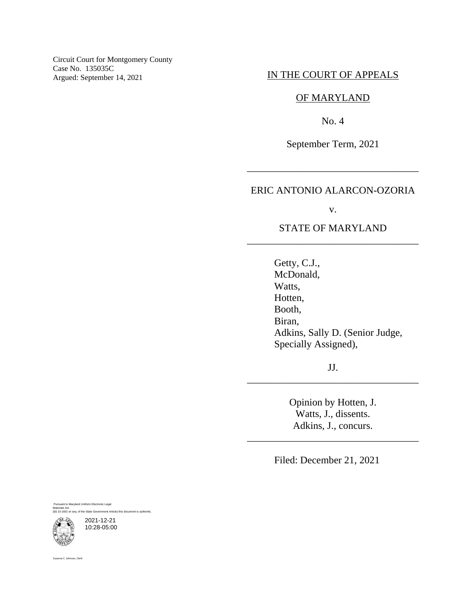Circuit Court for Montgomery County Case No. 135035C<br>Argued: September 14, 2021

# IN THE COURT OF APPEALS

### OF MARYLAND

No. 4

September Term, 2021

\_\_\_\_\_\_\_\_\_\_\_\_\_\_\_\_\_\_\_\_\_\_\_\_\_\_\_\_\_\_\_\_\_\_

### ERIC ANTONIO ALARCON-OZORIA

v.

### STATE OF MARYLAND \_\_\_\_\_\_\_\_\_\_\_\_\_\_\_\_\_\_\_\_\_\_\_\_\_\_\_\_\_\_\_\_\_\_

Getty, C.J., McDonald, Watts, Hotten, Booth, Biran, Adkins, Sally D. (Senior Judge, Specially Assigned),

JJ. \_\_\_\_\_\_\_\_\_\_\_\_\_\_\_\_\_\_\_\_\_\_\_\_\_\_\_\_\_\_\_\_\_\_

> Opinion by Hotten, J. Watts, J., dissents. Adkins, J., concurs.

\_\_\_\_\_\_\_\_\_\_\_\_\_\_\_\_\_\_\_\_\_\_\_\_\_\_\_\_\_\_\_\_\_\_

Filed: December 21, 2021

Pursuant to Maryland Uniform Electronic Legal Materials Act (§§ 10-1601 et seq. of the State Government Article) this document is authentic.

2021-12-21 10:28-05:00

Suzanne C. Johnson, Clerk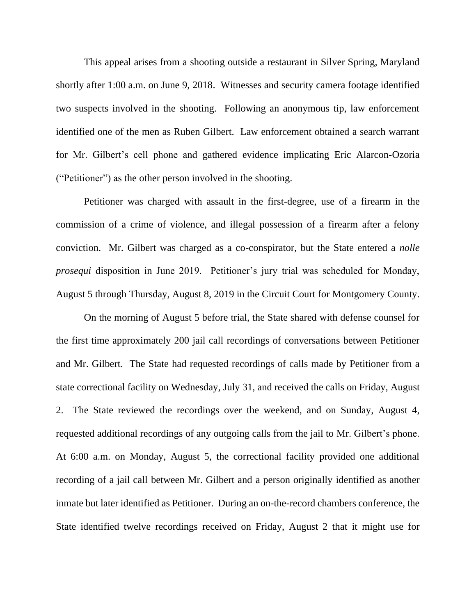This appeal arises from a shooting outside a restaurant in Silver Spring, Maryland shortly after 1:00 a.m. on June 9, 2018. Witnesses and security camera footage identified two suspects involved in the shooting. Following an anonymous tip, law enforcement identified one of the men as Ruben Gilbert. Law enforcement obtained a search warrant for Mr. Gilbert's cell phone and gathered evidence implicating Eric Alarcon-Ozoria ("Petitioner") as the other person involved in the shooting.

Petitioner was charged with assault in the first-degree, use of a firearm in the commission of a crime of violence, and illegal possession of a firearm after a felony conviction. Mr. Gilbert was charged as a co-conspirator, but the State entered a *nolle prosequi* disposition in June 2019. Petitioner's jury trial was scheduled for Monday, August 5 through Thursday, August 8, 2019 in the Circuit Court for Montgomery County.

On the morning of August 5 before trial, the State shared with defense counsel for the first time approximately 200 jail call recordings of conversations between Petitioner and Mr. Gilbert. The State had requested recordings of calls made by Petitioner from a state correctional facility on Wednesday, July 31, and received the calls on Friday, August 2. The State reviewed the recordings over the weekend, and on Sunday, August 4, requested additional recordings of any outgoing calls from the jail to Mr. Gilbert's phone. At 6:00 a.m. on Monday, August 5, the correctional facility provided one additional recording of a jail call between Mr. Gilbert and a person originally identified as another inmate but later identified as Petitioner. During an on-the-record chambers conference, the State identified twelve recordings received on Friday, August 2 that it might use for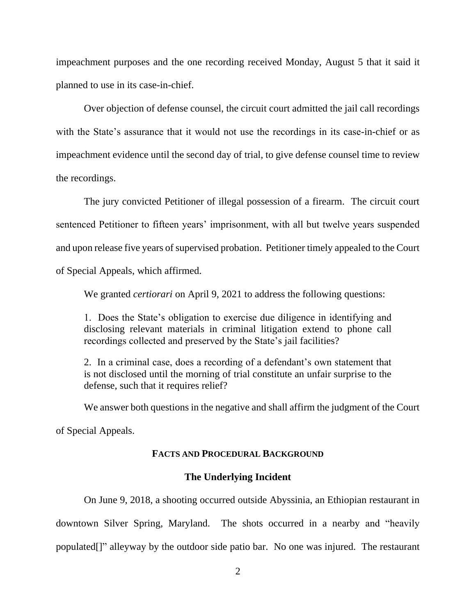impeachment purposes and the one recording received Monday, August 5 that it said it planned to use in its case-in-chief.

Over objection of defense counsel, the circuit court admitted the jail call recordings with the State's assurance that it would not use the recordings in its case-in-chief or as impeachment evidence until the second day of trial, to give defense counsel time to review the recordings.

The jury convicted Petitioner of illegal possession of a firearm. The circuit court sentenced Petitioner to fifteen years' imprisonment, with all but twelve years suspended and upon release five years of supervised probation. Petitioner timely appealed to the Court of Special Appeals, which affirmed.

We granted *certiorari* on April 9, 2021 to address the following questions:

1. Does the State's obligation to exercise due diligence in identifying and disclosing relevant materials in criminal litigation extend to phone call recordings collected and preserved by the State's jail facilities?

2. In a criminal case, does a recording of a defendant's own statement that is not disclosed until the morning of trial constitute an unfair surprise to the defense, such that it requires relief?

We answer both questions in the negative and shall affirm the judgment of the Court

of Special Appeals.

### **FACTS AND PROCEDURAL BACKGROUND**

#### **The Underlying Incident**

On June 9, 2018, a shooting occurred outside Abyssinia, an Ethiopian restaurant in downtown Silver Spring, Maryland. The shots occurred in a nearby and "heavily populated[]" alleyway by the outdoor side patio bar. No one was injured. The restaurant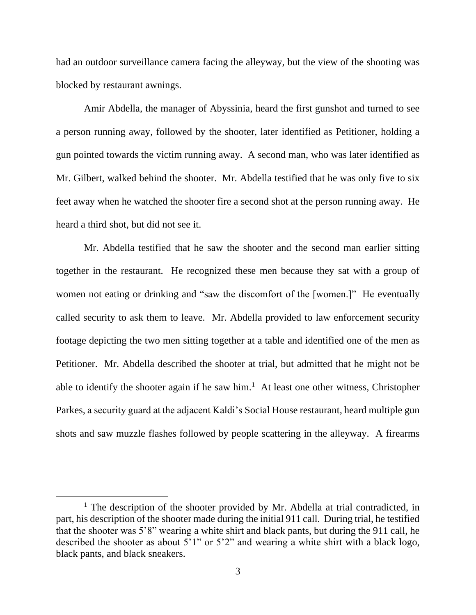had an outdoor surveillance camera facing the alleyway, but the view of the shooting was blocked by restaurant awnings.

Amir Abdella, the manager of Abyssinia, heard the first gunshot and turned to see a person running away, followed by the shooter, later identified as Petitioner, holding a gun pointed towards the victim running away. A second man, who was later identified as Mr. Gilbert, walked behind the shooter. Mr. Abdella testified that he was only five to six feet away when he watched the shooter fire a second shot at the person running away. He heard a third shot, but did not see it.

Mr. Abdella testified that he saw the shooter and the second man earlier sitting together in the restaurant. He recognized these men because they sat with a group of women not eating or drinking and "saw the discomfort of the [women.]" He eventually called security to ask them to leave. Mr. Abdella provided to law enforcement security footage depicting the two men sitting together at a table and identified one of the men as Petitioner. Mr. Abdella described the shooter at trial, but admitted that he might not be able to identify the shooter again if he saw him.<sup>1</sup> At least one other witness, Christopher Parkes, a security guard at the adjacent Kaldi's Social House restaurant, heard multiple gun shots and saw muzzle flashes followed by people scattering in the alleyway. A firearms

<sup>&</sup>lt;sup>1</sup> The description of the shooter provided by Mr. Abdella at trial contradicted, in part, his description of the shooter made during the initial 911 call. During trial, he testified that the shooter was 5'8" wearing a white shirt and black pants, but during the 911 call, he described the shooter as about 5'1" or 5'2" and wearing a white shirt with a black logo, black pants, and black sneakers.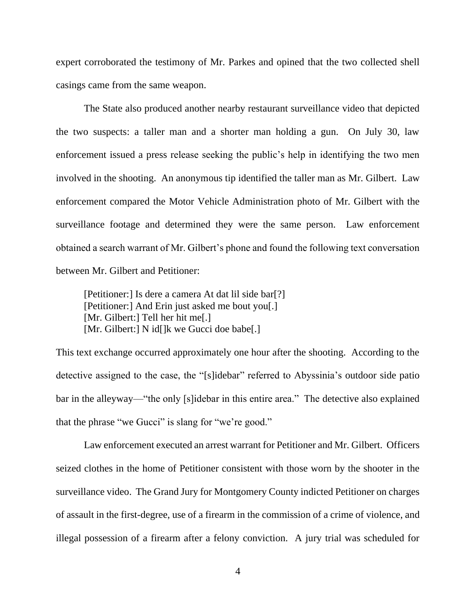expert corroborated the testimony of Mr. Parkes and opined that the two collected shell casings came from the same weapon.

The State also produced another nearby restaurant surveillance video that depicted the two suspects: a taller man and a shorter man holding a gun. On July 30, law enforcement issued a press release seeking the public's help in identifying the two men involved in the shooting. An anonymous tip identified the taller man as Mr. Gilbert. Law enforcement compared the Motor Vehicle Administration photo of Mr. Gilbert with the surveillance footage and determined they were the same person. Law enforcement obtained a search warrant of Mr. Gilbert's phone and found the following text conversation between Mr. Gilbert and Petitioner:

[Petitioner:] Is dere a camera At dat lil side bar[?] [Petitioner:] And Erin just asked me bout you[.] [Mr. Gilbert:] Tell her hit me[.] [Mr. Gilbert:] N id[]k we Gucci doe babe[.]

This text exchange occurred approximately one hour after the shooting. According to the detective assigned to the case, the "[s]idebar" referred to Abyssinia's outdoor side patio bar in the alleyway—"the only [s]idebar in this entire area." The detective also explained that the phrase "we Gucci" is slang for "we're good."

Law enforcement executed an arrest warrant for Petitioner and Mr. Gilbert. Officers seized clothes in the home of Petitioner consistent with those worn by the shooter in the surveillance video. The Grand Jury for Montgomery County indicted Petitioner on charges of assault in the first-degree, use of a firearm in the commission of a crime of violence, and illegal possession of a firearm after a felony conviction. A jury trial was scheduled for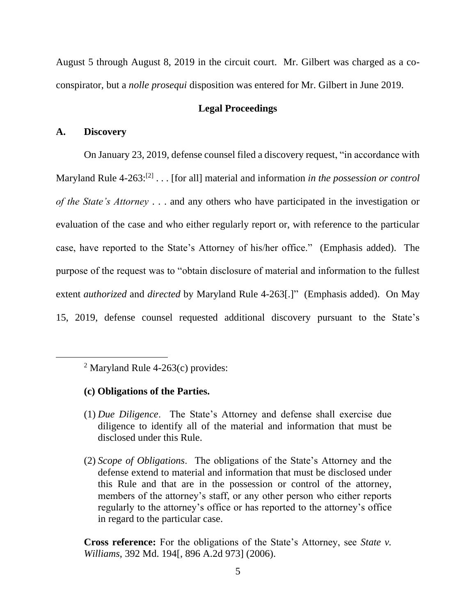August 5 through August 8, 2019 in the circuit court. Mr. Gilbert was charged as a coconspirator, but a *nolle prosequi* disposition was entered for Mr. Gilbert in June 2019.

### **Legal Proceedings**

### **A. Discovery**

On January 23, 2019, defense counsel filed a discovery request, "in accordance with Maryland Rule 4-263:<sup>[2]</sup> . . . [for all] material and information *in the possession or control of the State's Attorney* . . . and any others who have participated in the investigation or evaluation of the case and who either regularly report or, with reference to the particular case, have reported to the State's Attorney of his/her office." (Emphasis added). The purpose of the request was to "obtain disclosure of material and information to the fullest extent *authorized* and *directed* by Maryland Rule 4-263[.]" (Emphasis added). On May 15, 2019, defense counsel requested additional discovery pursuant to the State's

- **(c) Obligations of the Parties.**
- (1) *Due Diligence*. The State's Attorney and defense shall exercise due diligence to identify all of the material and information that must be disclosed under this Rule.
- (2) *Scope of Obligations*. The obligations of the State's Attorney and the defense extend to material and information that must be disclosed under this Rule and that are in the possession or control of the attorney, members of the attorney's staff, or any other person who either reports regularly to the attorney's office or has reported to the attorney's office in regard to the particular case.

**Cross reference:** For the obligations of the State's Attorney, see *State v. Williams*, 392 Md. 194[, 896 A.2d 973] (2006).

<sup>&</sup>lt;sup>2</sup> Maryland Rule 4-263(c) provides: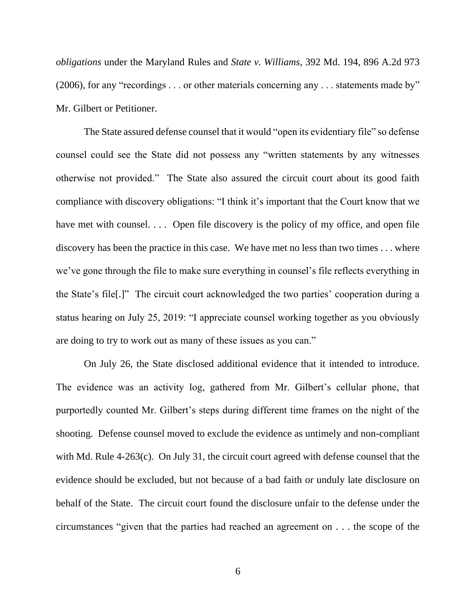*obligations* under the Maryland Rules and *State v. Williams*, 392 Md. 194, 896 A.2d 973 (2006), for any "recordings . . . or other materials concerning any . . . statements made by" Mr. Gilbert or Petitioner.

The State assured defense counsel that it would "open its evidentiary file" so defense counsel could see the State did not possess any "written statements by any witnesses otherwise not provided." The State also assured the circuit court about its good faith compliance with discovery obligations: "I think it's important that the Court know that we have met with counsel. . . . Open file discovery is the policy of my office, and open file discovery has been the practice in this case. We have met no less than two times . . . where we've gone through the file to make sure everything in counsel's file reflects everything in the State's file[.]" The circuit court acknowledged the two parties' cooperation during a status hearing on July 25, 2019: "I appreciate counsel working together as you obviously are doing to try to work out as many of these issues as you can."

On July 26, the State disclosed additional evidence that it intended to introduce. The evidence was an activity log, gathered from Mr. Gilbert's cellular phone, that purportedly counted Mr. Gilbert's steps during different time frames on the night of the shooting. Defense counsel moved to exclude the evidence as untimely and non-compliant with Md. Rule 4-263(c). On July 31, the circuit court agreed with defense counsel that the evidence should be excluded, but not because of a bad faith or unduly late disclosure on behalf of the State. The circuit court found the disclosure unfair to the defense under the circumstances "given that the parties had reached an agreement on . . . the scope of the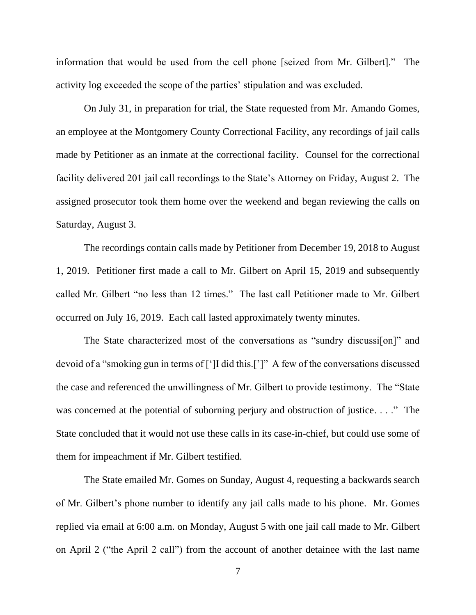information that would be used from the cell phone [seized from Mr. Gilbert]." The activity log exceeded the scope of the parties' stipulation and was excluded.

On July 31, in preparation for trial, the State requested from Mr. Amando Gomes, an employee at the Montgomery County Correctional Facility, any recordings of jail calls made by Petitioner as an inmate at the correctional facility. Counsel for the correctional facility delivered 201 jail call recordings to the State's Attorney on Friday, August 2. The assigned prosecutor took them home over the weekend and began reviewing the calls on Saturday, August 3.

The recordings contain calls made by Petitioner from December 19, 2018 to August 1, 2019. Petitioner first made a call to Mr. Gilbert on April 15, 2019 and subsequently called Mr. Gilbert "no less than 12 times." The last call Petitioner made to Mr. Gilbert occurred on July 16, 2019. Each call lasted approximately twenty minutes.

The State characterized most of the conversations as "sundry discussi[on]" and devoid of a "smoking gun in terms of [']I did this.[']" A few of the conversations discussed the case and referenced the unwillingness of Mr. Gilbert to provide testimony. The "State was concerned at the potential of suborning perjury and obstruction of justice. . . ." The State concluded that it would not use these calls in its case-in-chief, but could use some of them for impeachment if Mr. Gilbert testified.

The State emailed Mr. Gomes on Sunday, August 4, requesting a backwards search of Mr. Gilbert's phone number to identify any jail calls made to his phone. Mr. Gomes replied via email at 6:00 a.m. on Monday, August 5 with one jail call made to Mr. Gilbert on April 2 ("the April 2 call") from the account of another detainee with the last name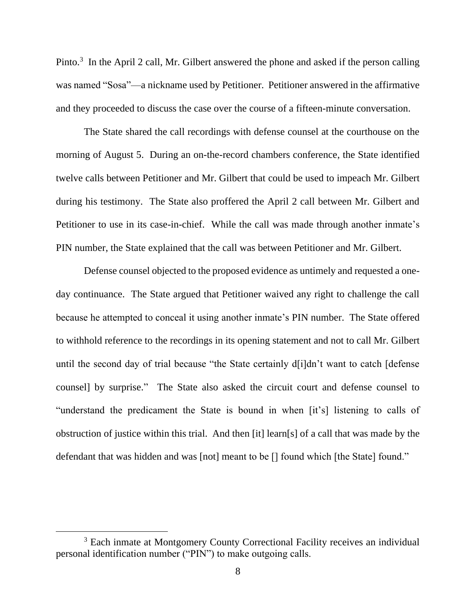Pinto.<sup>3</sup> In the April 2 call, Mr. Gilbert answered the phone and asked if the person calling was named "Sosa"—a nickname used by Petitioner. Petitioner answered in the affirmative and they proceeded to discuss the case over the course of a fifteen-minute conversation.

The State shared the call recordings with defense counsel at the courthouse on the morning of August 5. During an on-the-record chambers conference, the State identified twelve calls between Petitioner and Mr. Gilbert that could be used to impeach Mr. Gilbert during his testimony. The State also proffered the April 2 call between Mr. Gilbert and Petitioner to use in its case-in-chief. While the call was made through another inmate's PIN number, the State explained that the call was between Petitioner and Mr. Gilbert.

Defense counsel objected to the proposed evidence as untimely and requested a oneday continuance. The State argued that Petitioner waived any right to challenge the call because he attempted to conceal it using another inmate's PIN number. The State offered to withhold reference to the recordings in its opening statement and not to call Mr. Gilbert until the second day of trial because "the State certainly d[i]dn't want to catch [defense counsel] by surprise." The State also asked the circuit court and defense counsel to "understand the predicament the State is bound in when [it's] listening to calls of obstruction of justice within this trial. And then [it] learn[s] of a call that was made by the defendant that was hidden and was [not] meant to be [] found which [the State] found."

<sup>&</sup>lt;sup>3</sup> Each inmate at Montgomery County Correctional Facility receives an individual personal identification number ("PIN") to make outgoing calls.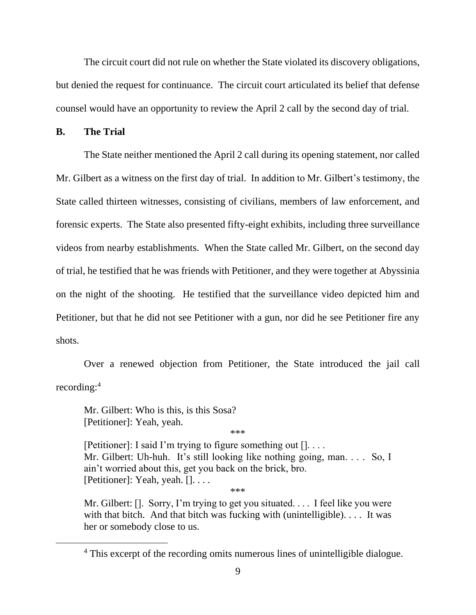The circuit court did not rule on whether the State violated its discovery obligations, but denied the request for continuance. The circuit court articulated its belief that defense counsel would have an opportunity to review the April 2 call by the second day of trial.

### **B. The Trial**

The State neither mentioned the April 2 call during its opening statement, nor called Mr. Gilbert as a witness on the first day of trial. In addition to Mr. Gilbert's testimony, the State called thirteen witnesses, consisting of civilians, members of law enforcement, and forensic experts. The State also presented fifty-eight exhibits, including three surveillance videos from nearby establishments. When the State called Mr. Gilbert, on the second day of trial, he testified that he was friends with Petitioner, and they were together at Abyssinia on the night of the shooting. He testified that the surveillance video depicted him and Petitioner, but that he did not see Petitioner with a gun, nor did he see Petitioner fire any shots.

Over a renewed objection from Petitioner, the State introduced the jail call recording:<sup>4</sup>

Mr. Gilbert: Who is this, is this Sosa? [Petitioner]: Yeah, yeah.

\*\*\*

[Petitioner]: I said I'm trying to figure something out []. . . . Mr. Gilbert: Uh-huh. It's still looking like nothing going, man. . . . So, I ain't worried about this, get you back on the brick, bro. [Petitioner]: Yeah, yeah. []. . . . \*\*\*

Mr. Gilbert: []. Sorry, I'm trying to get you situated. . . . I feel like you were with that bitch. And that bitch was fucking with (unintelligible). . . . It was her or somebody close to us.

<sup>&</sup>lt;sup>4</sup> This excerpt of the recording omits numerous lines of unintelligible dialogue.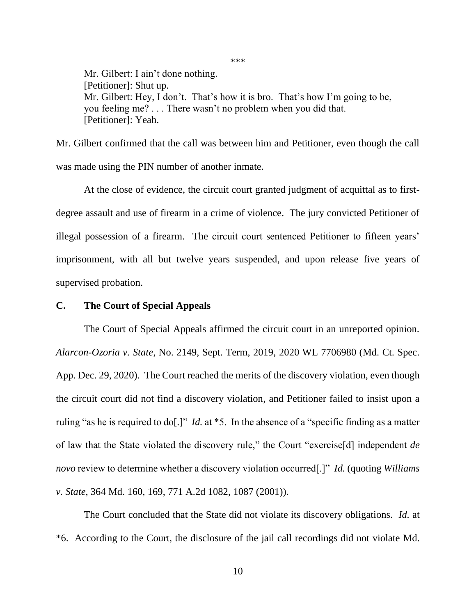Mr. Gilbert: I ain't done nothing. [Petitioner]: Shut up. Mr. Gilbert: Hey, I don't. That's how it is bro. That's how I'm going to be, you feeling me? . . . There wasn't no problem when you did that. [Petitioner]: Yeah.

Mr. Gilbert confirmed that the call was between him and Petitioner, even though the call was made using the PIN number of another inmate.

At the close of evidence, the circuit court granted judgment of acquittal as to firstdegree assault and use of firearm in a crime of violence. The jury convicted Petitioner of illegal possession of a firearm. The circuit court sentenced Petitioner to fifteen years' imprisonment, with all but twelve years suspended, and upon release five years of supervised probation.

#### **C. The Court of Special Appeals**

The Court of Special Appeals affirmed the circuit court in an unreported opinion. *Alarcon-Ozoria v. State*, No. 2149, Sept. Term, 2019, 2020 WL 7706980 (Md. Ct. Spec. App. Dec. 29, 2020). The Court reached the merits of the discovery violation, even though the circuit court did not find a discovery violation, and Petitioner failed to insist upon a ruling "as he is required to do[.]" *Id.* at \*5. In the absence of a "specific finding as a matter of law that the State violated the discovery rule," the Court "exercise[d] independent *de novo* review to determine whether a discovery violation occurred[.]" *Id.* (quoting *Williams v. State*, 364 Md. 160, 169, 771 A.2d 1082, 1087 (2001)).

The Court concluded that the State did not violate its discovery obligations. *Id.* at \*6. According to the Court, the disclosure of the jail call recordings did not violate Md.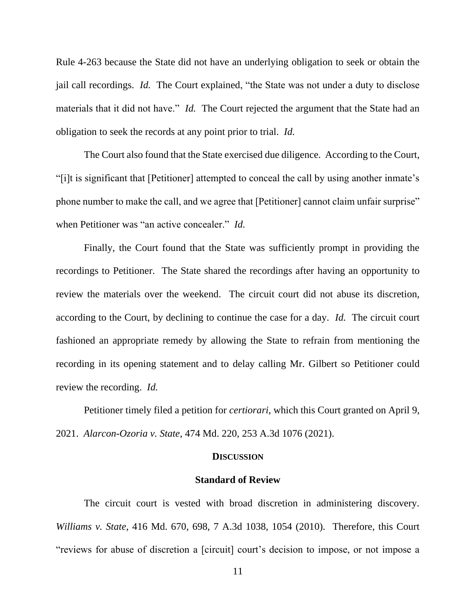Rule 4-263 because the State did not have an underlying obligation to seek or obtain the jail call recordings. *Id.* The Court explained, "the State was not under a duty to disclose materials that it did not have." *Id.* The Court rejected the argument that the State had an obligation to seek the records at any point prior to trial. *Id.*

The Court also found that the State exercised due diligence. According to the Court, "[i]t is significant that [Petitioner] attempted to conceal the call by using another inmate's phone number to make the call, and we agree that [Petitioner] cannot claim unfair surprise" when Petitioner was "an active concealer." *Id.*

Finally, the Court found that the State was sufficiently prompt in providing the recordings to Petitioner. The State shared the recordings after having an opportunity to review the materials over the weekend. The circuit court did not abuse its discretion, according to the Court, by declining to continue the case for a day. *Id.* The circuit court fashioned an appropriate remedy by allowing the State to refrain from mentioning the recording in its opening statement and to delay calling Mr. Gilbert so Petitioner could review the recording. *Id.* 

Petitioner timely filed a petition for *certiorari*, which this Court granted on April 9, 2021. *Alarcon-Ozoria v. State*, 474 Md. 220, 253 A.3d 1076 (2021).

### **DISCUSSION**

#### **Standard of Review**

The circuit court is vested with broad discretion in administering discovery. *Williams v. State*, 416 Md. 670, 698, 7 A.3d 1038, 1054 (2010). Therefore, this Court "reviews for abuse of discretion a [circuit] court's decision to impose, or not impose a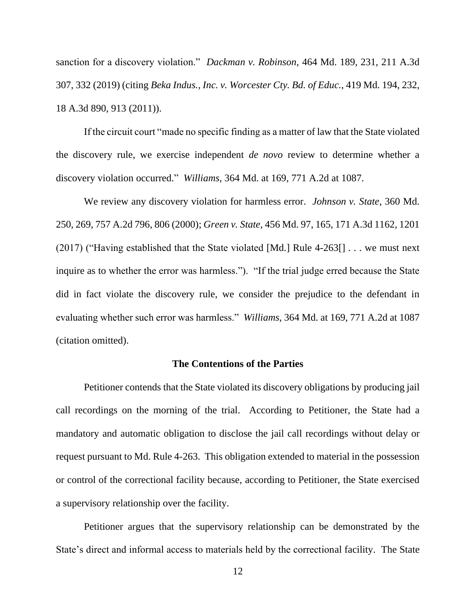sanction for a discovery violation." *Dackman v. Robinson*, 464 Md. 189, 231, 211 A.3d 307, 332 (2019) (citing *Beka Indus., Inc. v. Worcester Cty. Bd. of Educ.*, 419 Md. 194, 232, 18 A.3d 890, 913 (2011)).

If the circuit court "made no specific finding as a matter of law that the State violated the discovery rule, we exercise independent *de novo* review to determine whether a discovery violation occurred." *Williams*, 364 Md. at 169, 771 A.2d at 1087.

We review any discovery violation for harmless error. *Johnson v. State*, 360 Md. 250, 269, 757 A.2d 796, 806 (2000); *Green v. State*, 456 Md. 97, 165, 171 A.3d 1162, 1201 (2017) ("Having established that the State violated [Md.] Rule 4-263[] . . . we must next inquire as to whether the error was harmless."). "If the trial judge erred because the State did in fact violate the discovery rule, we consider the prejudice to the defendant in evaluating whether such error was harmless." *Williams*, 364 Md. at 169, 771 A.2d at 1087 (citation omitted).

#### **The Contentions of the Parties**

Petitioner contends that the State violated its discovery obligations by producing jail call recordings on the morning of the trial. According to Petitioner, the State had a mandatory and automatic obligation to disclose the jail call recordings without delay or request pursuant to Md. Rule 4-263. This obligation extended to material in the possession or control of the correctional facility because, according to Petitioner, the State exercised a supervisory relationship over the facility.

Petitioner argues that the supervisory relationship can be demonstrated by the State's direct and informal access to materials held by the correctional facility. The State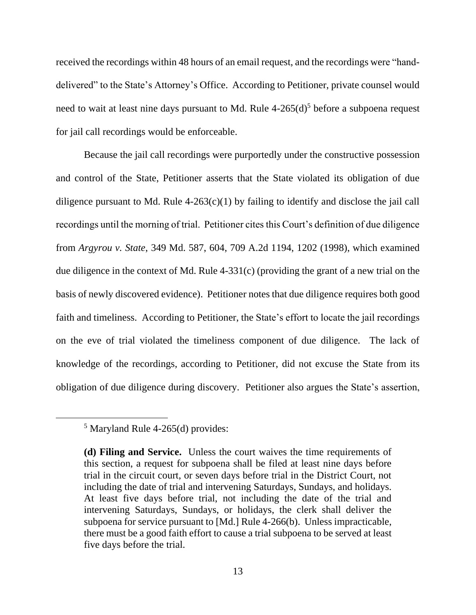received the recordings within 48 hours of an email request, and the recordings were "handdelivered" to the State's Attorney's Office. According to Petitioner, private counsel would need to wait at least nine days pursuant to Md. Rule  $4-265(d)^5$  before a subpoena request for jail call recordings would be enforceable.

Because the jail call recordings were purportedly under the constructive possession and control of the State, Petitioner asserts that the State violated its obligation of due diligence pursuant to Md. Rule  $4-263(c)(1)$  by failing to identify and disclose the jail call recordings until the morning of trial. Petitioner cites this Court's definition of due diligence from *Argyrou v. State*, 349 Md. 587, 604, 709 A.2d 1194, 1202 (1998), which examined due diligence in the context of Md. Rule 4-331(c) (providing the grant of a new trial on the basis of newly discovered evidence). Petitioner notes that due diligence requires both good faith and timeliness. According to Petitioner, the State's effort to locate the jail recordings on the eve of trial violated the timeliness component of due diligence. The lack of knowledge of the recordings, according to Petitioner, did not excuse the State from its obligation of due diligence during discovery. Petitioner also argues the State's assertion,

<sup>5</sup> Maryland Rule 4-265(d) provides:

**<sup>(</sup>d) Filing and Service.** Unless the court waives the time requirements of this section, a request for subpoena shall be filed at least nine days before trial in the circuit court, or seven days before trial in the District Court, not including the date of trial and intervening Saturdays, Sundays, and holidays. At least five days before trial, not including the date of the trial and intervening Saturdays, Sundays, or holidays, the clerk shall deliver the subpoena for service pursuant to [Md.] Rule 4-266(b). Unless impracticable, there must be a good faith effort to cause a trial subpoena to be served at least five days before the trial.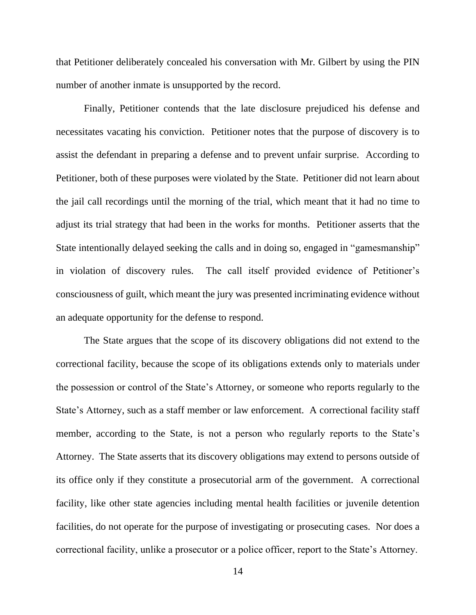that Petitioner deliberately concealed his conversation with Mr. Gilbert by using the PIN number of another inmate is unsupported by the record.

Finally, Petitioner contends that the late disclosure prejudiced his defense and necessitates vacating his conviction. Petitioner notes that the purpose of discovery is to assist the defendant in preparing a defense and to prevent unfair surprise. According to Petitioner, both of these purposes were violated by the State. Petitioner did not learn about the jail call recordings until the morning of the trial, which meant that it had no time to adjust its trial strategy that had been in the works for months. Petitioner asserts that the State intentionally delayed seeking the calls and in doing so, engaged in "gamesmanship" in violation of discovery rules. The call itself provided evidence of Petitioner's consciousness of guilt, which meant the jury was presented incriminating evidence without an adequate opportunity for the defense to respond.

The State argues that the scope of its discovery obligations did not extend to the correctional facility, because the scope of its obligations extends only to materials under the possession or control of the State's Attorney, or someone who reports regularly to the State's Attorney, such as a staff member or law enforcement. A correctional facility staff member, according to the State, is not a person who regularly reports to the State's Attorney. The State asserts that its discovery obligations may extend to persons outside of its office only if they constitute a prosecutorial arm of the government. A correctional facility, like other state agencies including mental health facilities or juvenile detention facilities, do not operate for the purpose of investigating or prosecuting cases. Nor does a correctional facility, unlike a prosecutor or a police officer, report to the State's Attorney.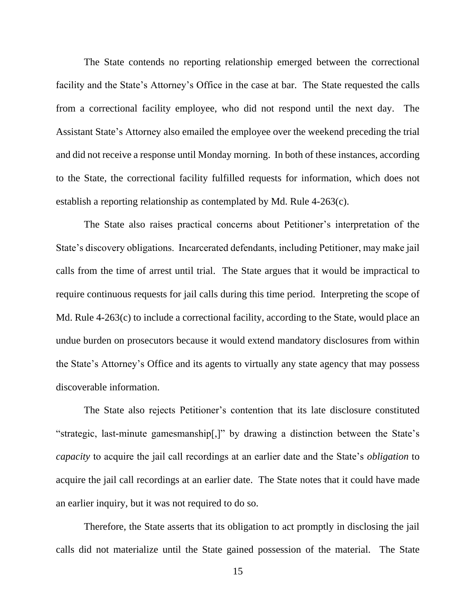The State contends no reporting relationship emerged between the correctional facility and the State's Attorney's Office in the case at bar. The State requested the calls from a correctional facility employee, who did not respond until the next day. The Assistant State's Attorney also emailed the employee over the weekend preceding the trial and did not receive a response until Monday morning. In both of these instances, according to the State, the correctional facility fulfilled requests for information, which does not establish a reporting relationship as contemplated by Md. Rule 4-263(c).

The State also raises practical concerns about Petitioner's interpretation of the State's discovery obligations. Incarcerated defendants, including Petitioner, may make jail calls from the time of arrest until trial. The State argues that it would be impractical to require continuous requests for jail calls during this time period. Interpreting the scope of Md. Rule 4-263(c) to include a correctional facility, according to the State, would place an undue burden on prosecutors because it would extend mandatory disclosures from within the State's Attorney's Office and its agents to virtually any state agency that may possess discoverable information.

The State also rejects Petitioner's contention that its late disclosure constituted "strategic, last-minute gamesmanship[,]" by drawing a distinction between the State's *capacity* to acquire the jail call recordings at an earlier date and the State's *obligation* to acquire the jail call recordings at an earlier date. The State notes that it could have made an earlier inquiry, but it was not required to do so.

Therefore, the State asserts that its obligation to act promptly in disclosing the jail calls did not materialize until the State gained possession of the material. The State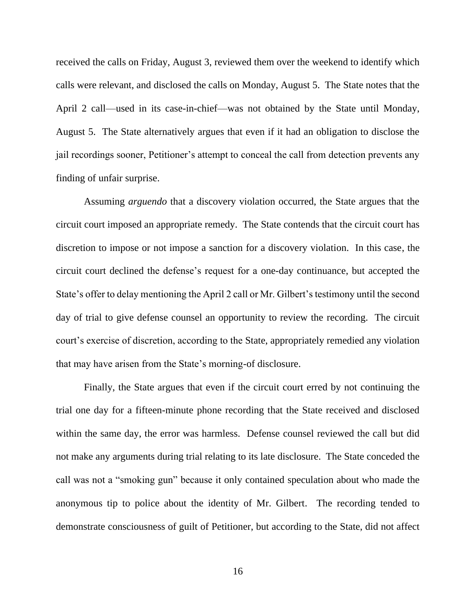received the calls on Friday, August 3, reviewed them over the weekend to identify which calls were relevant, and disclosed the calls on Monday, August 5. The State notes that the April 2 call—used in its case-in-chief—was not obtained by the State until Monday, August 5. The State alternatively argues that even if it had an obligation to disclose the jail recordings sooner, Petitioner's attempt to conceal the call from detection prevents any finding of unfair surprise.

Assuming *arguendo* that a discovery violation occurred, the State argues that the circuit court imposed an appropriate remedy.The State contends that the circuit court has discretion to impose or not impose a sanction for a discovery violation. In this case, the circuit court declined the defense's request for a one-day continuance, but accepted the State's offer to delay mentioning the April 2 call or Mr. Gilbert's testimony until the second day of trial to give defense counsel an opportunity to review the recording. The circuit court's exercise of discretion, according to the State, appropriately remedied any violation that may have arisen from the State's morning-of disclosure.

Finally, the State argues that even if the circuit court erred by not continuing the trial one day for a fifteen-minute phone recording that the State received and disclosed within the same day, the error was harmless. Defense counsel reviewed the call but did not make any arguments during trial relating to its late disclosure. The State conceded the call was not a "smoking gun" because it only contained speculation about who made the anonymous tip to police about the identity of Mr. Gilbert. The recording tended to demonstrate consciousness of guilt of Petitioner, but according to the State, did not affect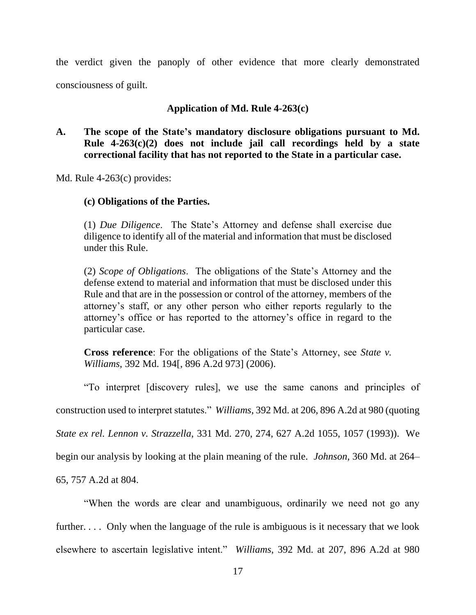the verdict given the panoply of other evidence that more clearly demonstrated consciousness of guilt.

# **Application of Md. Rule 4-263(c)**

# **A. The scope of the State's mandatory disclosure obligations pursuant to Md. Rule 4-263(c)(2) does not include jail call recordings held by a state correctional facility that has not reported to the State in a particular case.**

Md. Rule 4-263(c) provides:

# **(c) Obligations of the Parties.**

(1) *Due Diligence*. The State's Attorney and defense shall exercise due diligence to identify all of the material and information that must be disclosed under this Rule.

(2) *Scope of Obligations*. The obligations of the State's Attorney and the defense extend to material and information that must be disclosed under this Rule and that are in the possession or control of the attorney, members of the attorney's staff, or any other person who either reports regularly to the attorney's office or has reported to the attorney's office in regard to the particular case.

**Cross reference**: For the obligations of the State's Attorney, see *State v. Williams*, 392 Md. 194[, 896 A.2d 973] (2006).

"To interpret [discovery rules], we use the same canons and principles of

construction used to interpret statutes." *Williams*, 392 Md. at 206, 896 A.2d at 980 (quoting

*State ex rel. Lennon v. Strazzella*, 331 Md. 270, 274, 627 A.2d 1055, 1057 (1993)). We

begin our analysis by looking at the plain meaning of the rule. *Johnson*, 360 Md. at 264–

65, 757 A.2d at 804.

"When the words are clear and unambiguous, ordinarily we need not go any further.... Only when the language of the rule is ambiguous is it necessary that we look elsewhere to ascertain legislative intent." *Williams*, 392 Md. at 207, 896 A.2d at 980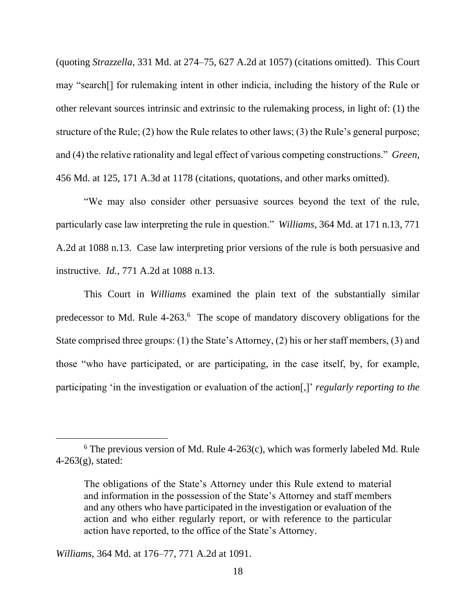(quoting *Strazzella*, 331 Md. at 274–75, 627 A.2d at 1057) (citations omitted). This Court may "search[] for rulemaking intent in other indicia, including the history of the Rule or other relevant sources intrinsic and extrinsic to the rulemaking process, in light of: (1) the structure of the Rule; (2) how the Rule relates to other laws; (3) the Rule's general purpose; and (4) the relative rationality and legal effect of various competing constructions." *Green*, 456 Md. at 125, 171 A.3d at 1178 (citations, quotations, and other marks omitted).

"We may also consider other persuasive sources beyond the text of the rule, particularly case law interpreting the rule in question." *Williams*, 364 Md. at 171 n.13, 771 A.2d at 1088 n.13. Case law interpreting prior versions of the rule is both persuasive and instructive. *Id.*, 771 A.2d at 1088 n.13.

This Court in *Williams* examined the plain text of the substantially similar predecessor to Md. Rule 4-263.<sup>6</sup> The scope of mandatory discovery obligations for the State comprised three groups: (1) the State's Attorney, (2) his or her staff members, (3) and those "who have participated, or are participating, in the case itself, by, for example, participating 'in the investigation or evaluation of the action[,]' *regularly reporting to the* 

*Williams*, 364 Md. at 176–77, 771 A.2d at 1091.

 $6$  The previous version of Md. Rule 4-263(c), which was formerly labeled Md. Rule  $4-263(g)$ , stated:

The obligations of the State's Attorney under this Rule extend to material and information in the possession of the State's Attorney and staff members and any others who have participated in the investigation or evaluation of the action and who either regularly report, or with reference to the particular action have reported, to the office of the State's Attorney.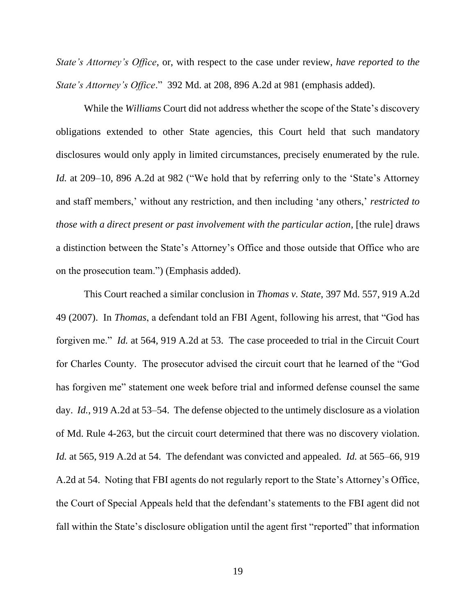*State's Attorney's Office*, or, with respect to the case under review, *have reported to the State's Attorney's Office*." 392 Md. at 208, 896 A.2d at 981 (emphasis added).

While the *Williams* Court did not address whether the scope of the State's discovery obligations extended to other State agencies, this Court held that such mandatory disclosures would only apply in limited circumstances, precisely enumerated by the rule. *Id.* at 209–10, 896 A.2d at 982 ("We hold that by referring only to the 'State's Attorney and staff members,' without any restriction, and then including 'any others,' *restricted to those with a direct present or past involvement with the particular action*, [the rule] draws a distinction between the State's Attorney's Office and those outside that Office who are on the prosecution team.") (Emphasis added).

This Court reached a similar conclusion in *Thomas v. State*, 397 Md. 557, 919 A.2d 49 (2007). In *Thomas*, a defendant told an FBI Agent, following his arrest, that "God has forgiven me." *Id.* at 564, 919 A.2d at 53. The case proceeded to trial in the Circuit Court for Charles County. The prosecutor advised the circuit court that he learned of the "God has forgiven me" statement one week before trial and informed defense counsel the same day. *Id.*, 919 A.2d at 53–54. The defense objected to the untimely disclosure as a violation of Md. Rule 4-263, but the circuit court determined that there was no discovery violation. *Id.* at 565, 919 A.2d at 54. The defendant was convicted and appealed. *Id.* at 565–66, 919 A.2d at 54. Noting that FBI agents do not regularly report to the State's Attorney's Office, the Court of Special Appeals held that the defendant's statements to the FBI agent did not fall within the State's disclosure obligation until the agent first "reported" that information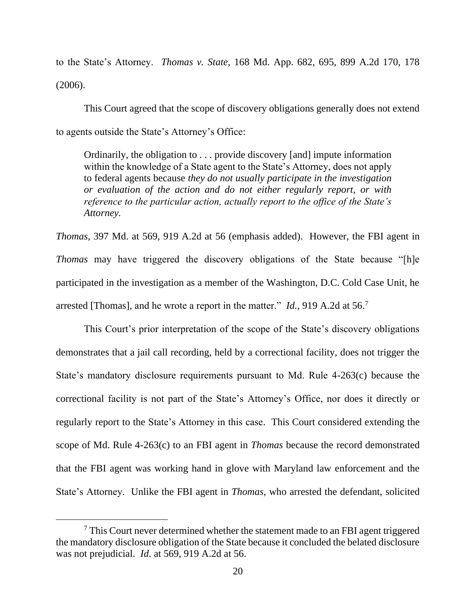to the State's Attorney. *Thomas v. State*, 168 Md. App. 682, 695, 899 A.2d 170, 178 (2006).

This Court agreed that the scope of discovery obligations generally does not extend to agents outside the State's Attorney's Office:

Ordinarily, the obligation to . . . provide discovery [and] impute information within the knowledge of a State agent to the State's Attorney, does not apply to federal agents because *they do not usually participate in the investigation or evaluation of the action and do not either regularly report, or with reference to the particular action, actually report to the office of the State's Attorney.*

*Thomas*, 397 Md. at 569, 919 A.2d at 56 (emphasis added). However, the FBI agent in *Thomas* may have triggered the discovery obligations of the State because "[h]e participated in the investigation as a member of the Washington, D.C. Cold Case Unit, he arrested [Thomas], and he wrote a report in the matter." *Id.*, 919 A.2d at 56.<sup>7</sup>

This Court's prior interpretation of the scope of the State's discovery obligations demonstrates that a jail call recording, held by a correctional facility, does not trigger the State's mandatory disclosure requirements pursuant to Md. Rule 4-263(c) because the correctional facility is not part of the State's Attorney's Office, nor does it directly or regularly report to the State's Attorney in this case. This Court considered extending the scope of Md. Rule 4-263(c) to an FBI agent in *Thomas* because the record demonstrated that the FBI agent was working hand in glove with Maryland law enforcement and the State's Attorney. Unlike the FBI agent in *Thomas*, who arrested the defendant, solicited

<sup>&</sup>lt;sup>7</sup> This Court never determined whether the statement made to an FBI agent triggered the mandatory disclosure obligation of the State because it concluded the belated disclosure was not prejudicial. *Id*. at 569, 919 A.2d at 56.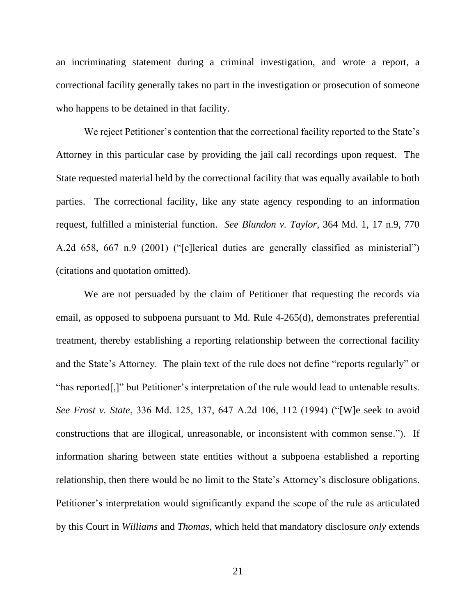an incriminating statement during a criminal investigation, and wrote a report, a correctional facility generally takes no part in the investigation or prosecution of someone who happens to be detained in that facility.

We reject Petitioner's contention that the correctional facility reported to the State's Attorney in this particular case by providing the jail call recordings upon request. The State requested material held by the correctional facility that was equally available to both parties. The correctional facility, like any state agency responding to an information request, fulfilled a ministerial function. *See Blundon v. Taylor*, 364 Md. 1, 17 n.9, 770 A.2d 658, 667 n.9 (2001) ("[c]lerical duties are generally classified as ministerial") (citations and quotation omitted).

We are not persuaded by the claim of Petitioner that requesting the records via email, as opposed to subpoena pursuant to Md. Rule 4-265(d), demonstrates preferential treatment, thereby establishing a reporting relationship between the correctional facility and the State's Attorney. The plain text of the rule does not define "reports regularly" or "has reported[,]" but Petitioner's interpretation of the rule would lead to untenable results. *See Frost v. State*, 336 Md. 125, 137, 647 A.2d 106, 112 (1994) ("[W]e seek to avoid constructions that are illogical, unreasonable, or inconsistent with common sense."). If information sharing between state entities without a subpoena established a reporting relationship, then there would be no limit to the State's Attorney's disclosure obligations. Petitioner's interpretation would significantly expand the scope of the rule as articulated by this Court in *Williams* and *Thomas*, which held that mandatory disclosure *only* extends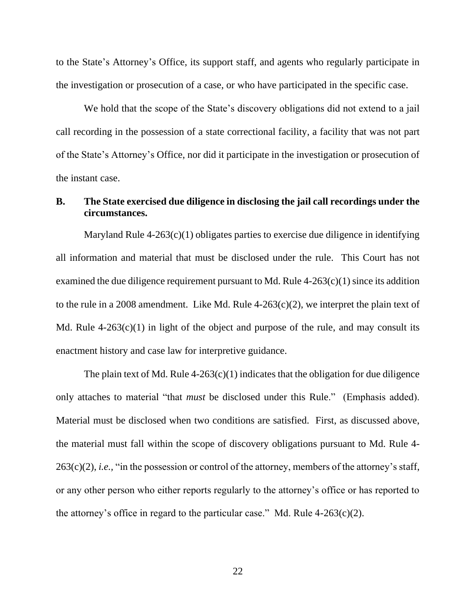to the State's Attorney's Office, its support staff, and agents who regularly participate in the investigation or prosecution of a case, or who have participated in the specific case.

We hold that the scope of the State's discovery obligations did not extend to a jail call recording in the possession of a state correctional facility, a facility that was not part of the State's Attorney's Office, nor did it participate in the investigation or prosecution of the instant case.

# **B. The State exercised due diligence in disclosing the jail call recordings under the circumstances.**

Maryland Rule 4-263(c)(1) obligates parties to exercise due diligence in identifying all information and material that must be disclosed under the rule. This Court has not examined the due diligence requirement pursuant to Md. Rule  $4-263(c)(1)$  since its addition to the rule in a 2008 amendment. Like Md. Rule  $4-263(c)(2)$ , we interpret the plain text of Md. Rule  $4-263(c)(1)$  in light of the object and purpose of the rule, and may consult its enactment history and case law for interpretive guidance.

The plain text of Md. Rule  $4-263(c)(1)$  indicates that the obligation for due diligence only attaches to material "that *must* be disclosed under this Rule." (Emphasis added). Material must be disclosed when two conditions are satisfied. First, as discussed above, the material must fall within the scope of discovery obligations pursuant to Md. Rule 4- 263(c)(2), *i.e.,* "in the possession or control of the attorney, members of the attorney's staff, or any other person who either reports regularly to the attorney's office or has reported to the attorney's office in regard to the particular case." Md. Rule  $4-263(c)(2)$ .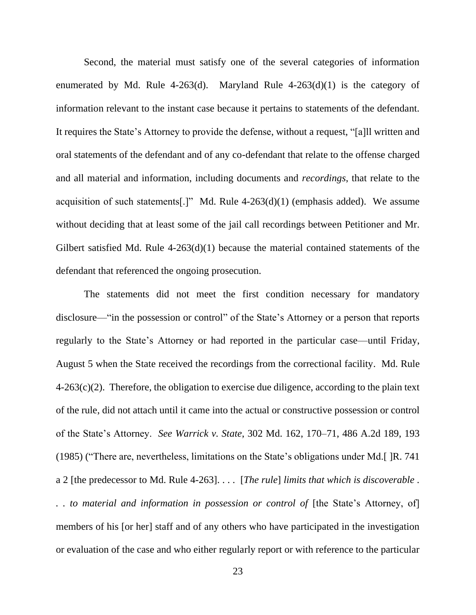Second, the material must satisfy one of the several categories of information enumerated by Md. Rule 4-263(d). Maryland Rule  $4-263(d)(1)$  is the category of information relevant to the instant case because it pertains to statements of the defendant. It requires the State's Attorney to provide the defense, without a request, "[a]ll written and oral statements of the defendant and of any co-defendant that relate to the offense charged and all material and information, including documents and *recordings*, that relate to the acquisition of such statements[.]" Md. Rule  $4-263(d)(1)$  (emphasis added). We assume without deciding that at least some of the jail call recordings between Petitioner and Mr. Gilbert satisfied Md. Rule 4-263(d)(1) because the material contained statements of the defendant that referenced the ongoing prosecution.

The statements did not meet the first condition necessary for mandatory disclosure—"in the possession or control" of the State's Attorney or a person that reports regularly to the State's Attorney or had reported in the particular case—until Friday, August 5 when the State received the recordings from the correctional facility. Md. Rule  $4\n-263(c)(2)$ . Therefore, the obligation to exercise due diligence, according to the plain text of the rule, did not attach until it came into the actual or constructive possession or control of the State's Attorney. *See Warrick v. State*, 302 Md. 162, 170–71, 486 A.2d 189, 193 (1985) ("There are, nevertheless, limitations on the State's obligations under Md.[ ]R. 741 a 2 [the predecessor to Md. Rule 4-263]. . . . [*The rule*] *limits that which is discoverable . .. to material and information in possession or control of* [the State's Attorney, of] members of his [or her] staff and of any others who have participated in the investigation or evaluation of the case and who either regularly report or with reference to the particular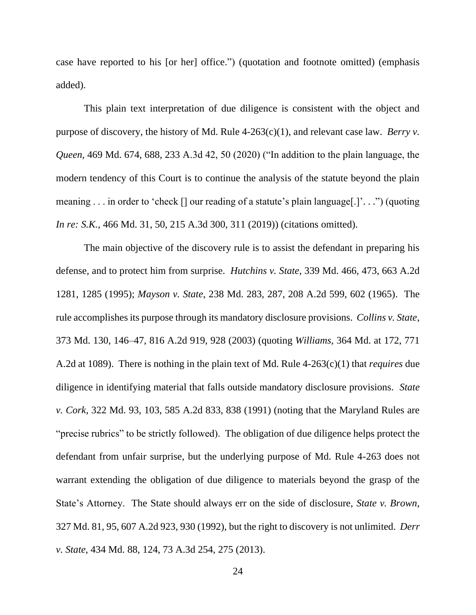case have reported to his [or her] office.") (quotation and footnote omitted) (emphasis added).

This plain text interpretation of due diligence is consistent with the object and purpose of discovery, the history of Md. Rule 4-263(c)(1), and relevant case law. *Berry v. Queen*, 469 Md. 674, 688, 233 A.3d 42, 50 (2020) ("In addition to the plain language, the modern tendency of this Court is to continue the analysis of the statute beyond the plain meaning . . . in order to 'check [] our reading of a statute's plain language[.]'. . .") (quoting *In re: S.K.*, 466 Md. 31, 50, 215 A.3d 300, 311 (2019)) (citations omitted).

The main objective of the discovery rule is to assist the defendant in preparing his defense, and to protect him from surprise. *Hutchins v. State*, 339 Md. 466, 473, 663 A.2d 1281, 1285 (1995); *Mayson v. State*, 238 Md. 283, 287, 208 A.2d 599, 602 (1965). The rule accomplishes its purpose through its mandatory disclosure provisions. *Collins v. State*, 373 Md. 130, 146–47, 816 A.2d 919, 928 (2003) (quoting *Williams*, 364 Md. at 172, 771 A.2d at 1089). There is nothing in the plain text of Md. Rule 4-263(c)(1) that *requires* due diligence in identifying material that falls outside mandatory disclosure provisions. *State v. Cork*, 322 Md. 93, 103, 585 A.2d 833, 838 (1991) (noting that the Maryland Rules are "precise rubrics" to be strictly followed). The obligation of due diligence helps protect the defendant from unfair surprise, but the underlying purpose of Md. Rule 4-263 does not warrant extending the obligation of due diligence to materials beyond the grasp of the State's Attorney. The State should always err on the side of disclosure, *State v. Brown*, 327 Md. 81, 95, 607 A.2d 923, 930 (1992), but the right to discovery is not unlimited. *Derr v. State*, 434 Md. 88, 124, 73 A.3d 254, 275 (2013).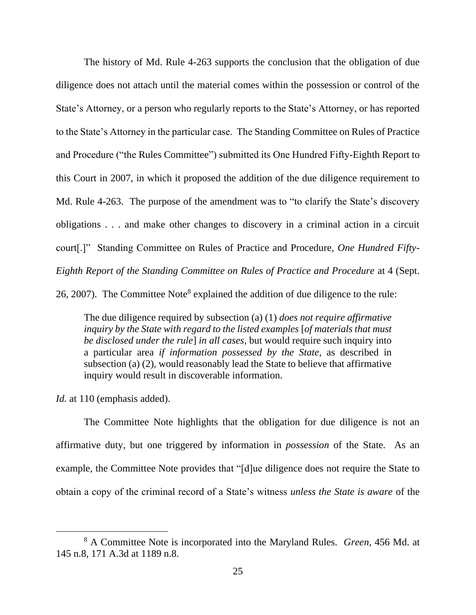The history of Md. Rule 4-263 supports the conclusion that the obligation of due diligence does not attach until the material comes within the possession or control of the State's Attorney, or a person who regularly reports to the State's Attorney, or has reported to the State's Attorney in the particular case. The Standing Committee on Rules of Practice and Procedure ("the Rules Committee") submitted its One Hundred Fifty-Eighth Report to this Court in 2007, in which it proposed the addition of the due diligence requirement to Md. Rule 4-263. The purpose of the amendment was to "to clarify the State's discovery obligations . . . and make other changes to discovery in a criminal action in a circuit court[.]" Standing Committee on Rules of Practice and Procedure, *One Hundred Fifty-Eighth Report of the Standing Committee on Rules of Practice and Procedure* at 4 (Sept. 26, 2007). The Committee Note<sup>8</sup> explained the addition of due diligence to the rule:

The due diligence required by subsection (a) (1) *does not require affirmative inquiry by the State with regard to the listed examples* [*of materials that must be disclosed under the rule*] *in all cases,* but would require such inquiry into a particular area *if information possessed by the State*, as described in subsection (a) (2), would reasonably lead the State to believe that affirmative inquiry would result in discoverable information.

Id. at 110 (emphasis added).

The Committee Note highlights that the obligation for due diligence is not an affirmative duty, but one triggered by information in *possession* of the State. As an example, the Committee Note provides that "[d]ue diligence does not require the State to obtain a copy of the criminal record of a State's witness *unless the State is aware* of the

<sup>8</sup> A Committee Note is incorporated into the Maryland Rules. *Green*, 456 Md. at 145 n.8, 171 A.3d at 1189 n.8.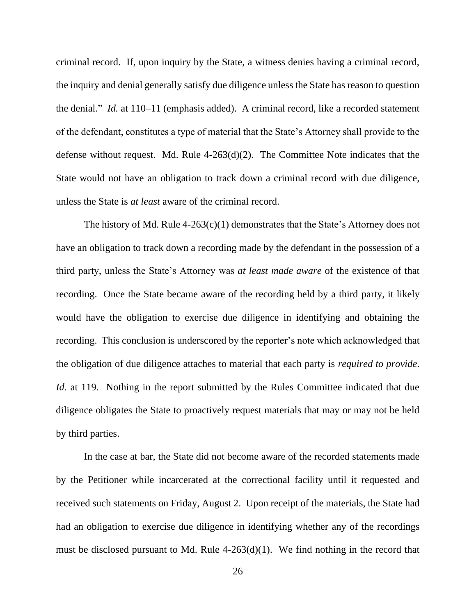criminal record. If, upon inquiry by the State, a witness denies having a criminal record, the inquiry and denial generally satisfy due diligence unless the State has reason to question the denial." *Id.* at 110–11 (emphasis added). A criminal record, like a recorded statement of the defendant, constitutes a type of material that the State's Attorney shall provide to the defense without request. Md. Rule 4-263(d)(2). The Committee Note indicates that the State would not have an obligation to track down a criminal record with due diligence, unless the State is *at least* aware of the criminal record.

The history of Md. Rule  $4-263(c)(1)$  demonstrates that the State's Attorney does not have an obligation to track down a recording made by the defendant in the possession of a third party, unless the State's Attorney was *at least made aware* of the existence of that recording. Once the State became aware of the recording held by a third party, it likely would have the obligation to exercise due diligence in identifying and obtaining the recording. This conclusion is underscored by the reporter's note which acknowledged that the obligation of due diligence attaches to material that each party is *required to provide*. *Id.* at 119. Nothing in the report submitted by the Rules Committee indicated that due diligence obligates the State to proactively request materials that may or may not be held by third parties.

In the case at bar, the State did not become aware of the recorded statements made by the Petitioner while incarcerated at the correctional facility until it requested and received such statements on Friday, August 2. Upon receipt of the materials, the State had had an obligation to exercise due diligence in identifying whether any of the recordings must be disclosed pursuant to Md. Rule 4-263(d)(1). We find nothing in the record that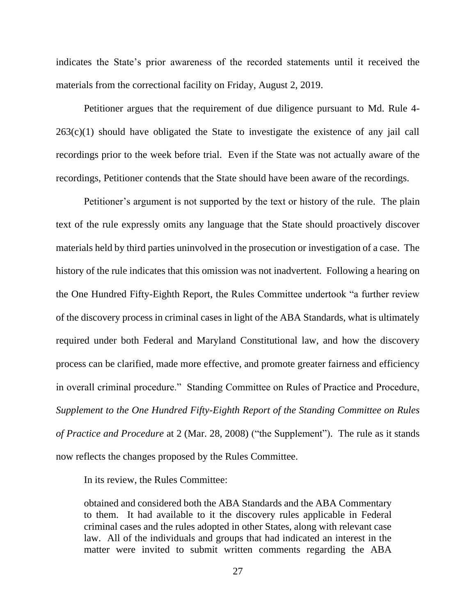indicates the State's prior awareness of the recorded statements until it received the materials from the correctional facility on Friday, August 2, 2019.

Petitioner argues that the requirement of due diligence pursuant to Md. Rule 4- 263(c)(1) should have obligated the State to investigate the existence of any jail call recordings prior to the week before trial. Even if the State was not actually aware of the recordings, Petitioner contends that the State should have been aware of the recordings.

Petitioner's argument is not supported by the text or history of the rule. The plain text of the rule expressly omits any language that the State should proactively discover materials held by third parties uninvolved in the prosecution or investigation of a case. The history of the rule indicates that this omission was not inadvertent. Following a hearing on the One Hundred Fifty-Eighth Report, the Rules Committee undertook "a further review of the discovery process in criminal cases in light of the ABA Standards, what is ultimately required under both Federal and Maryland Constitutional law, and how the discovery process can be clarified, made more effective, and promote greater fairness and efficiency in overall criminal procedure." Standing Committee on Rules of Practice and Procedure, *Supplement to the One Hundred Fifty-Eighth Report of the Standing Committee on Rules of Practice and Procedure* at 2 (Mar. 28, 2008) ("the Supplement"). The rule as it stands now reflects the changes proposed by the Rules Committee.

In its review, the Rules Committee:

obtained and considered both the ABA Standards and the ABA Commentary to them. It had available to it the discovery rules applicable in Federal criminal cases and the rules adopted in other States, along with relevant case law. All of the individuals and groups that had indicated an interest in the matter were invited to submit written comments regarding the ABA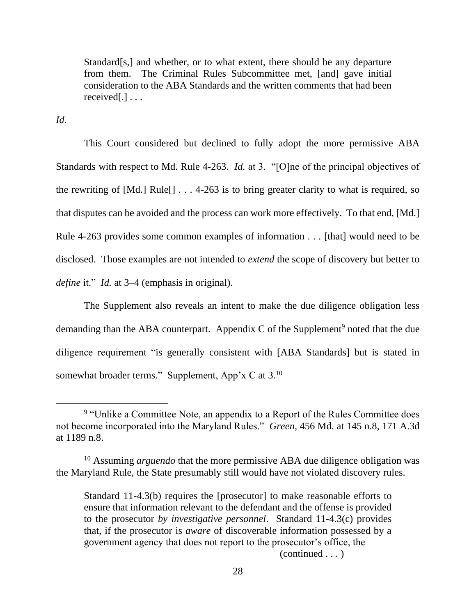Standard[s,] and whether, or to what extent, there should be any departure from them. The Criminal Rules Subcommittee met, [and] gave initial consideration to the ABA Standards and the written comments that had been received[.] . . .

*Id*.

This Court considered but declined to fully adopt the more permissive ABA Standards with respect to Md. Rule 4-263. *Id.* at 3. "[O]ne of the principal objectives of the rewriting of  $[Md.]\text{ Rule}[] \ldots 4{\text -}263$  is to bring greater clarity to what is required, so that disputes can be avoided and the process can work more effectively. To that end, [Md.] Rule 4-263 provides some common examples of information . . . [that] would need to be disclosed. Those examples are not intended to *extend* the scope of discovery but better to *define* it." *Id.* at 3–4 (emphasis in original).

The Supplement also reveals an intent to make the due diligence obligation less demanding than the ABA counterpart. Appendix  $C$  of the Supplement<sup>9</sup> noted that the due diligence requirement "is generally consistent with [ABA Standards] but is stated in somewhat broader terms." Supplement, App'x C at  $3.10$ 

(continued . . . )

<sup>&</sup>lt;sup>9</sup> "Unlike a Committee Note, an appendix to a Report of the Rules Committee does not become incorporated into the Maryland Rules." *Green*, 456 Md. at 145 n.8, 171 A.3d at 1189 n.8.

<sup>&</sup>lt;sup>10</sup> Assuming *arguendo* that the more permissive ABA due diligence obligation was the Maryland Rule, the State presumably still would have not violated discovery rules.

Standard 11-4.3(b) requires the [prosecutor] to make reasonable efforts to ensure that information relevant to the defendant and the offense is provided to the prosecutor *by investigative personnel*. Standard 11-4.3(c) provides that, if the prosecutor is *aware* of discoverable information possessed by a government agency that does not report to the prosecutor's office, the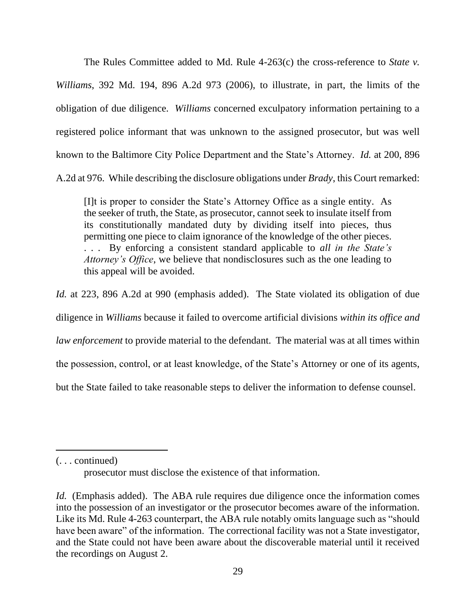The Rules Committee added to Md. Rule 4-263(c) the cross-reference to *State v. Williams*, 392 Md. 194, 896 A.2d 973 (2006), to illustrate, in part, the limits of the obligation of due diligence. *Williams* concerned exculpatory information pertaining to a registered police informant that was unknown to the assigned prosecutor, but was well known to the Baltimore City Police Department and the State's Attorney. *Id.* at 200, 896 A.2d at 976. While describing the disclosure obligations under *Brady*, this Court remarked:

[I]t is proper to consider the State's Attorney Office as a single entity. As the seeker of truth, the State, as prosecutor, cannot seek to insulate itself from its constitutionally mandated duty by dividing itself into pieces, thus permitting one piece to claim ignorance of the knowledge of the other pieces. . . . By enforcing a consistent standard applicable to *all in the State's Attorney's Office*, we believe that nondisclosures such as the one leading to this appeal will be avoided.

*Id.* at 223, 896 A.2d at 990 (emphasis added). The State violated its obligation of due diligence in *Williams* because it failed to overcome artificial divisions *within its office and law enforcement* to provide material to the defendant. The material was at all times within the possession, control, or at least knowledge, of the State's Attorney or one of its agents, but the State failed to take reasonable steps to deliver the information to defense counsel.

(. . . continued)

prosecutor must disclose the existence of that information.

*Id.* (Emphasis added). The ABA rule requires due diligence once the information comes into the possession of an investigator or the prosecutor becomes aware of the information. Like its Md. Rule 4-263 counterpart, the ABA rule notably omits language such as "should have been aware" of the information. The correctional facility was not a State investigator, and the State could not have been aware about the discoverable material until it received the recordings on August 2.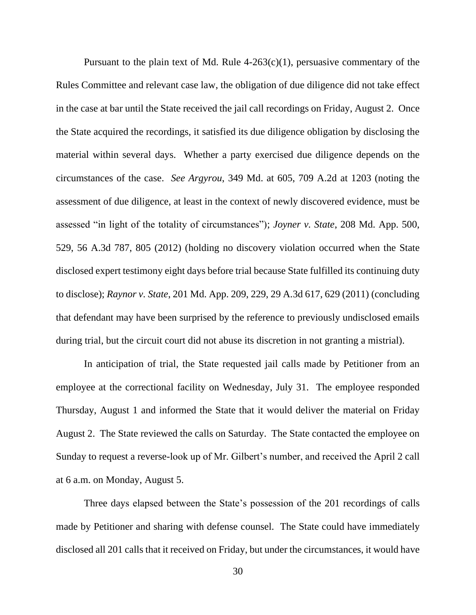Pursuant to the plain text of Md. Rule  $4-263(c)(1)$ , persuasive commentary of the Rules Committee and relevant case law, the obligation of due diligence did not take effect in the case at bar until the State received the jail call recordings on Friday, August 2. Once the State acquired the recordings, it satisfied its due diligence obligation by disclosing the material within several days. Whether a party exercised due diligence depends on the circumstances of the case. *See Argyrou*, 349 Md. at 605, 709 A.2d at 1203 (noting the assessment of due diligence, at least in the context of newly discovered evidence, must be assessed "in light of the totality of circumstances"); *Joyner v. State*, 208 Md. App. 500, 529, 56 A.3d 787, 805 (2012) (holding no discovery violation occurred when the State disclosed expert testimony eight days before trial because State fulfilled its continuing duty to disclose); *Raynor v. State*, 201 Md. App. 209, 229, 29 A.3d 617, 629 (2011) (concluding that defendant may have been surprised by the reference to previously undisclosed emails during trial, but the circuit court did not abuse its discretion in not granting a mistrial).

In anticipation of trial, the State requested jail calls made by Petitioner from an employee at the correctional facility on Wednesday, July 31. The employee responded Thursday, August 1 and informed the State that it would deliver the material on Friday August 2. The State reviewed the calls on Saturday. The State contacted the employee on Sunday to request a reverse-look up of Mr. Gilbert's number, and received the April 2 call at 6 a.m. on Monday, August 5.

Three days elapsed between the State's possession of the 201 recordings of calls made by Petitioner and sharing with defense counsel. The State could have immediately disclosed all 201 calls that it received on Friday, but under the circumstances, it would have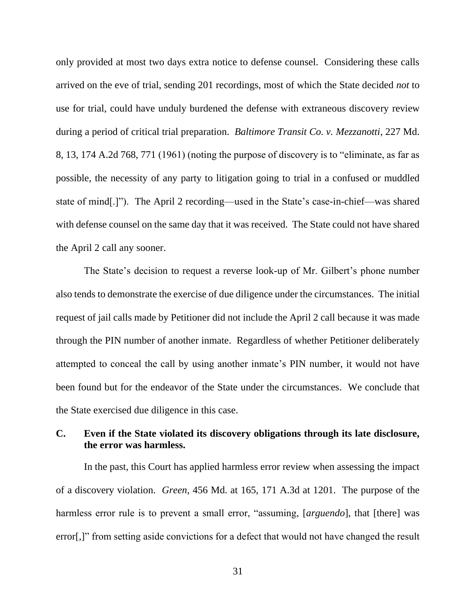only provided at most two days extra notice to defense counsel. Considering these calls arrived on the eve of trial, sending 201 recordings, most of which the State decided *not* to use for trial, could have unduly burdened the defense with extraneous discovery review during a period of critical trial preparation. *Baltimore Transit Co. v. Mezzanotti*, 227 Md. 8, 13, 174 A.2d 768, 771 (1961) (noting the purpose of discovery is to "eliminate, as far as possible, the necessity of any party to litigation going to trial in a confused or muddled state of mind[.]"). The April 2 recording—used in the State's case-in-chief—was shared with defense counsel on the same day that it was received. The State could not have shared the April 2 call any sooner.

The State's decision to request a reverse look-up of Mr. Gilbert's phone number also tends to demonstrate the exercise of due diligence under the circumstances. The initial request of jail calls made by Petitioner did not include the April 2 call because it was made through the PIN number of another inmate. Regardless of whether Petitioner deliberately attempted to conceal the call by using another inmate's PIN number, it would not have been found but for the endeavor of the State under the circumstances. We conclude that the State exercised due diligence in this case.

# **C. Even if the State violated its discovery obligations through its late disclosure, the error was harmless.**

In the past, this Court has applied harmless error review when assessing the impact of a discovery violation. *Green*, 456 Md. at 165, 171 A.3d at 1201. The purpose of the harmless error rule is to prevent a small error, "assuming, [*arguendo*], that [there] was error[,]" from setting aside convictions for a defect that would not have changed the result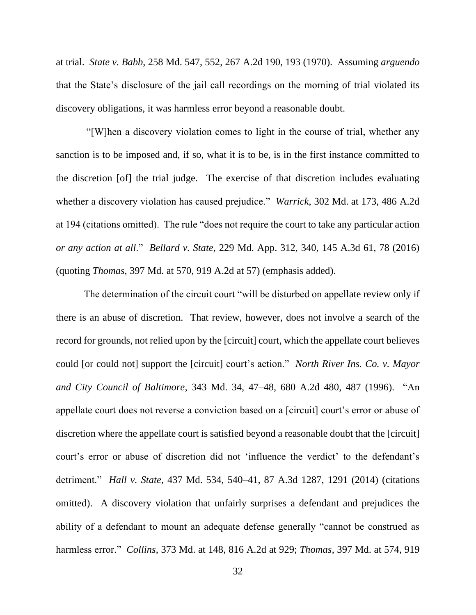at trial. *State v. Babb*, 258 Md. 547, 552, 267 A.2d 190, 193 (1970). Assuming *arguendo* that the State's disclosure of the jail call recordings on the morning of trial violated its discovery obligations, it was harmless error beyond a reasonable doubt.

"[W]hen a discovery violation comes to light in the course of trial, whether any sanction is to be imposed and, if so, what it is to be, is in the first instance committed to the discretion [of] the trial judge. The exercise of that discretion includes evaluating whether a discovery violation has caused prejudice." *Warrick*, 302 Md. at 173, 486 A.2d at 194 (citations omitted). The rule "does not require the court to take any particular action *or any action at all*." *Bellard v. State*, 229 Md. App. 312, 340, 145 A.3d 61, 78 (2016) (quoting *Thomas*, 397 Md. at 570, 919 A.2d at 57) (emphasis added).

The determination of the circuit court "will be disturbed on appellate review only if there is an abuse of discretion. That review, however, does not involve a search of the record for grounds, not relied upon by the [circuit] court, which the appellate court believes could [or could not] support the [circuit] court's action." *North River Ins. Co. v. Mayor and City Council of Baltimore*, 343 Md. 34, 47–48, 680 A.2d 480, 487 (1996). "An appellate court does not reverse a conviction based on a [circuit] court's error or abuse of discretion where the appellate court is satisfied beyond a reasonable doubt that the [circuit] court's error or abuse of discretion did not 'influence the verdict' to the defendant's detriment." *Hall v. State*, 437 Md. 534, 540–41, 87 A.3d 1287, 1291 (2014) (citations omitted). A discovery violation that unfairly surprises a defendant and prejudices the ability of a defendant to mount an adequate defense generally "cannot be construed as harmless error." *Collins*, 373 Md. at 148, 816 A.2d at 929; *Thomas*, 397 Md. at 574, 919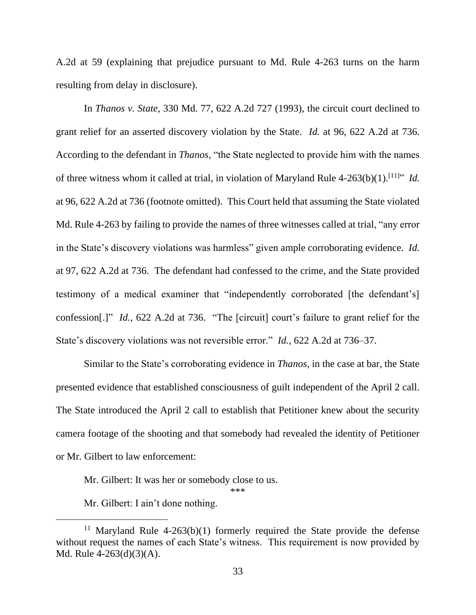A.2d at 59 (explaining that prejudice pursuant to Md. Rule 4-263 turns on the harm resulting from delay in disclosure).

In *Thanos v. State*, 330 Md. 77, 622 A.2d 727 (1993), the circuit court declined to grant relief for an asserted discovery violation by the State. *Id.* at 96, 622 A.2d at 736. According to the defendant in *Thanos*, "the State neglected to provide him with the names of three witness whom it called at trial, in violation of Maryland Rule 4-263(b)(1). [11] " *Id.*  at 96, 622 A.2d at 736 (footnote omitted). This Court held that assuming the State violated Md. Rule 4-263 by failing to provide the names of three witnesses called at trial, "any error in the State's discovery violations was harmless" given ample corroborating evidence. *Id.*  at 97, 622 A.2d at 736. The defendant had confessed to the crime, and the State provided testimony of a medical examiner that "independently corroborated [the defendant's] confession[.]" *Id.*, 622 A.2d at 736. "The [circuit] court's failure to grant relief for the State's discovery violations was not reversible error." *Id.*, 622 A.2d at 736–37.

Similar to the State's corroborating evidence in *Thanos*, in the case at bar, the State presented evidence that established consciousness of guilt independent of the April 2 call. The State introduced the April 2 call to establish that Petitioner knew about the security camera footage of the shooting and that somebody had revealed the identity of Petitioner or Mr. Gilbert to law enforcement:

Mr. Gilbert: It was her or somebody close to us.

\*\*\*

Mr. Gilbert: I ain't done nothing.

<sup>&</sup>lt;sup>11</sup> Maryland Rule 4-263(b)(1) formerly required the State provide the defense without request the names of each State's witness. This requirement is now provided by Md. Rule 4-263(d)(3)(A).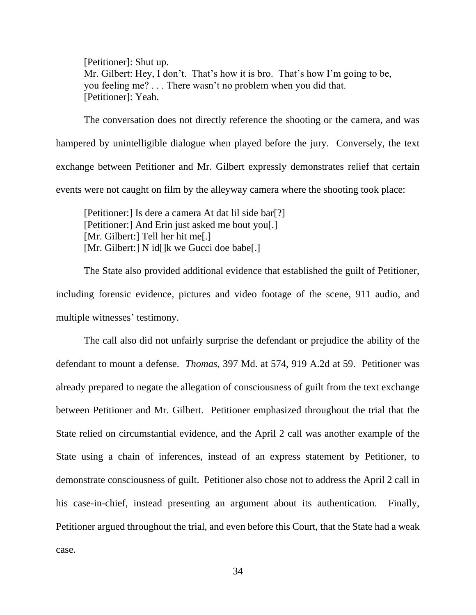[Petitioner]: Shut up. Mr. Gilbert: Hey, I don't. That's how it is bro. That's how I'm going to be, you feeling me? . . . There wasn't no problem when you did that. [Petitioner]: Yeah.

The conversation does not directly reference the shooting or the camera, and was hampered by unintelligible dialogue when played before the jury. Conversely, the text exchange between Petitioner and Mr. Gilbert expressly demonstrates relief that certain events were not caught on film by the alleyway camera where the shooting took place:

[Petitioner:] Is dere a camera At dat lil side bar[?] [Petitioner:] And Erin just asked me bout you[.] [Mr. Gilbert:] Tell her hit me[.] [Mr. Gilbert:] N id[]k we Gucci doe babe[.]

The State also provided additional evidence that established the guilt of Petitioner, including forensic evidence, pictures and video footage of the scene, 911 audio, and multiple witnesses' testimony.

The call also did not unfairly surprise the defendant or prejudice the ability of the defendant to mount a defense. *Thomas*, 397 Md. at 574, 919 A.2d at 59. Petitioner was already prepared to negate the allegation of consciousness of guilt from the text exchange between Petitioner and Mr. Gilbert. Petitioner emphasized throughout the trial that the State relied on circumstantial evidence, and the April 2 call was another example of the State using a chain of inferences, instead of an express statement by Petitioner, to demonstrate consciousness of guilt. Petitioner also chose not to address the April 2 call in his case-in-chief, instead presenting an argument about its authentication. Finally, Petitioner argued throughout the trial, and even before this Court, that the State had a weak case.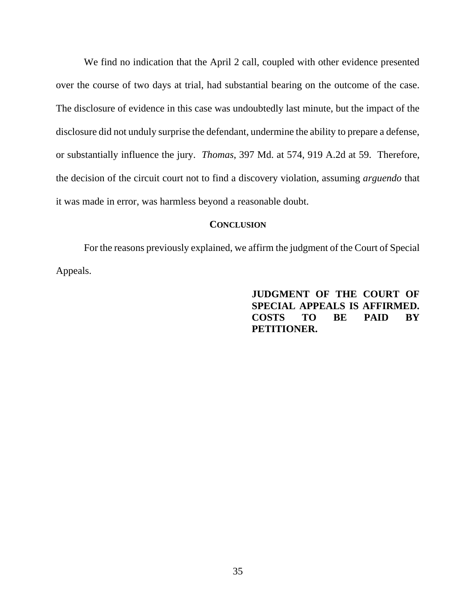We find no indication that the April 2 call, coupled with other evidence presented over the course of two days at trial, had substantial bearing on the outcome of the case. The disclosure of evidence in this case was undoubtedly last minute, but the impact of the disclosure did not unduly surprise the defendant, undermine the ability to prepare a defense, or substantially influence the jury. *Thomas*, 397 Md. at 574, 919 A.2d at 59. Therefore, the decision of the circuit court not to find a discovery violation, assuming *arguendo* that it was made in error, was harmless beyond a reasonable doubt.

### **CONCLUSION**

For the reasons previously explained, we affirm the judgment of the Court of Special Appeals.

# **JUDGMENT OF THE COURT OF SPECIAL APPEALS IS AFFIRMED. COSTS TO BE PAID BY PETITIONER.**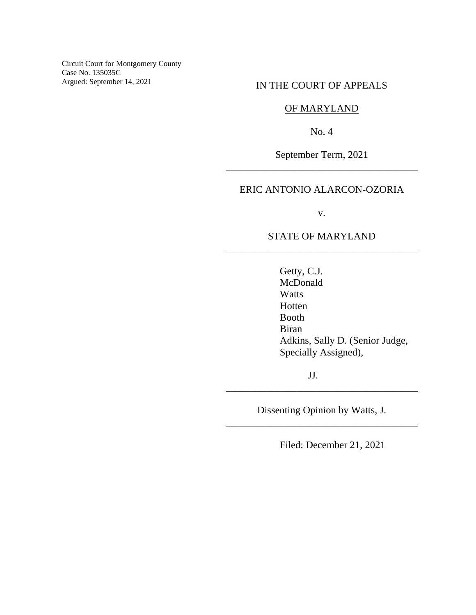Circuit Court for Montgomery County Case No. 135035C Argued: September 14, 2021

# IN THE COURT OF APPEALS

# OF MARYLAND

No. 4

September Term, 2021 \_\_\_\_\_\_\_\_\_\_\_\_\_\_\_\_\_\_\_\_\_\_\_\_\_\_\_\_\_\_\_\_\_\_\_\_\_\_

# ERIC ANTONIO ALARCON-OZORIA

v.

# STATE OF MARYLAND \_\_\_\_\_\_\_\_\_\_\_\_\_\_\_\_\_\_\_\_\_\_\_\_\_\_\_\_\_\_\_\_\_\_\_\_\_\_

Getty, C.J. McDonald Watts Hotten Booth Biran Adkins, Sally D. (Senior Judge, Specially Assigned),

JJ.

Dissenting Opinion by Watts, J. \_\_\_\_\_\_\_\_\_\_\_\_\_\_\_\_\_\_\_\_\_\_\_\_\_\_\_\_\_\_\_\_\_\_\_\_\_\_

\_\_\_\_\_\_\_\_\_\_\_\_\_\_\_\_\_\_\_\_\_\_\_\_\_\_\_\_\_\_\_\_\_\_\_\_\_\_

Filed: December 21, 2021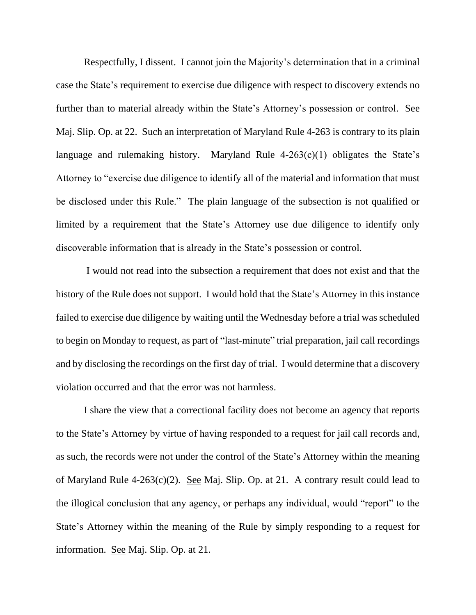Respectfully, I dissent. I cannot join the Majority's determination that in a criminal case the State's requirement to exercise due diligence with respect to discovery extends no further than to material already within the State's Attorney's possession or control. See Maj. Slip. Op. at 22. Such an interpretation of Maryland Rule 4-263 is contrary to its plain language and rulemaking history. Maryland Rule  $4-263(c)(1)$  obligates the State's Attorney to "exercise due diligence to identify all of the material and information that must be disclosed under this Rule." The plain language of the subsection is not qualified or limited by a requirement that the State's Attorney use due diligence to identify only discoverable information that is already in the State's possession or control.

I would not read into the subsection a requirement that does not exist and that the history of the Rule does not support. I would hold that the State's Attorney in this instance failed to exercise due diligence by waiting until the Wednesday before a trial was scheduled to begin on Monday to request, as part of "last-minute" trial preparation, jail call recordings and by disclosing the recordings on the first day of trial. I would determine that a discovery violation occurred and that the error was not harmless.

I share the view that a correctional facility does not become an agency that reports to the State's Attorney by virtue of having responded to a request for jail call records and, as such, the records were not under the control of the State's Attorney within the meaning of Maryland Rule 4-263(c)(2). See Maj. Slip. Op. at 21. A contrary result could lead to the illogical conclusion that any agency, or perhaps any individual, would "report" to the State's Attorney within the meaning of the Rule by simply responding to a request for information. See Maj. Slip. Op. at 21.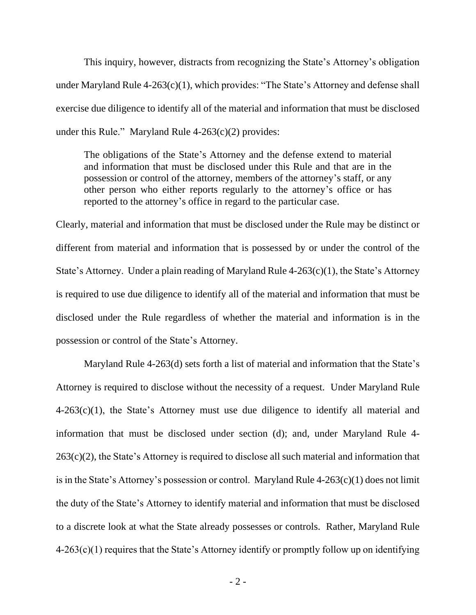This inquiry, however, distracts from recognizing the State's Attorney's obligation under Maryland Rule 4-263(c)(1), which provides: "The State's Attorney and defense shall exercise due diligence to identify all of the material and information that must be disclosed under this Rule." Maryland Rule  $4-263(c)(2)$  provides:

The obligations of the State's Attorney and the defense extend to material and information that must be disclosed under this Rule and that are in the possession or control of the attorney, members of the attorney's staff, or any other person who either reports regularly to the attorney's office or has reported to the attorney's office in regard to the particular case.

Clearly, material and information that must be disclosed under the Rule may be distinct or different from material and information that is possessed by or under the control of the State's Attorney. Under a plain reading of Maryland Rule  $4-263(c)(1)$ , the State's Attorney is required to use due diligence to identify all of the material and information that must be disclosed under the Rule regardless of whether the material and information is in the possession or control of the State's Attorney.

Maryland Rule 4-263(d) sets forth a list of material and information that the State's Attorney is required to disclose without the necessity of a request. Under Maryland Rule  $4-263(c)(1)$ , the State's Attorney must use due diligence to identify all material and information that must be disclosed under section (d); and, under Maryland Rule 4- 263(c)(2), the State's Attorney is required to disclose all such material and information that is in the State's Attorney's possession or control. Maryland Rule  $4-263(c)(1)$  does not limit the duty of the State's Attorney to identify material and information that must be disclosed to a discrete look at what the State already possesses or controls. Rather, Maryland Rule  $4-263(c)(1)$  requires that the State's Attorney identify or promptly follow up on identifying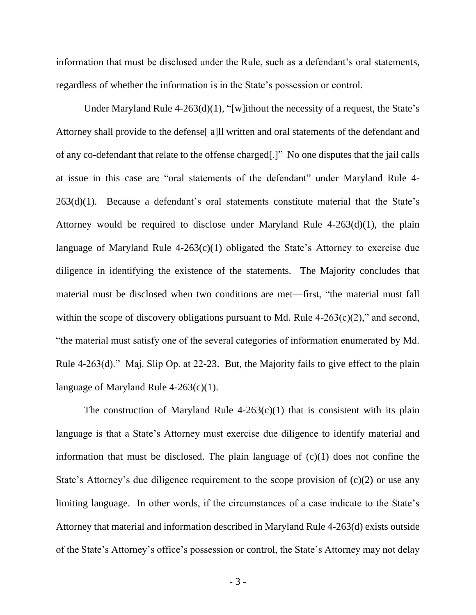information that must be disclosed under the Rule, such as a defendant's oral statements, regardless of whether the information is in the State's possession or control.

Under Maryland Rule  $4-263(d)(1)$ , "[w] ithout the necessity of a request, the State's Attorney shall provide to the defense[ a]ll written and oral statements of the defendant and of any co-defendant that relate to the offense charged[.]" No one disputes that the jail calls at issue in this case are "oral statements of the defendant" under Maryland Rule 4- 263(d)(1). Because a defendant's oral statements constitute material that the State's Attorney would be required to disclose under Maryland Rule 4-263(d)(1), the plain language of Maryland Rule  $4-263(c)(1)$  obligated the State's Attorney to exercise due diligence in identifying the existence of the statements. The Majority concludes that material must be disclosed when two conditions are met—first, "the material must fall within the scope of discovery obligations pursuant to Md. Rule  $4-263(c)(2)$ ," and second, "the material must satisfy one of the several categories of information enumerated by Md. Rule 4-263(d)." Maj. Slip Op. at 22-23. But, the Majority fails to give effect to the plain language of Maryland Rule  $4-263(c)(1)$ .

The construction of Maryland Rule  $4-263(c)(1)$  that is consistent with its plain language is that a State's Attorney must exercise due diligence to identify material and information that must be disclosed. The plain language of  $(c)(1)$  does not confine the State's Attorney's due diligence requirement to the scope provision of (c)(2) or use any limiting language. In other words, if the circumstances of a case indicate to the State's Attorney that material and information described in Maryland Rule 4-263(d) exists outside of the State's Attorney's office's possession or control, the State's Attorney may not delay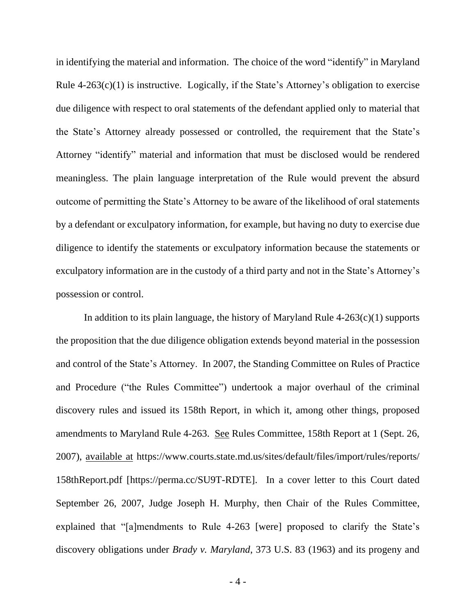in identifying the material and information. The choice of the word "identify" in Maryland Rule  $4-263(c)(1)$  is instructive. Logically, if the State's Attorney's obligation to exercise due diligence with respect to oral statements of the defendant applied only to material that the State's Attorney already possessed or controlled, the requirement that the State's Attorney "identify" material and information that must be disclosed would be rendered meaningless. The plain language interpretation of the Rule would prevent the absurd outcome of permitting the State's Attorney to be aware of the likelihood of oral statements by a defendant or exculpatory information, for example, but having no duty to exercise due diligence to identify the statements or exculpatory information because the statements or exculpatory information are in the custody of a third party and not in the State's Attorney's possession or control.

In addition to its plain language, the history of Maryland Rule  $4-263(c)(1)$  supports the proposition that the due diligence obligation extends beyond material in the possession and control of the State's Attorney. In 2007, the Standing Committee on Rules of Practice and Procedure ("the Rules Committee") undertook a major overhaul of the criminal discovery rules and issued its 158th Report, in which it, among other things, proposed amendments to Maryland Rule 4-263. See Rules Committee, 158th Report at 1 (Sept. 26, 2007), available at https://www.courts.state.md.us/sites/default/files/import/rules/reports/ 158thReport.pdf [https://perma.cc/SU9T-RDTE]. In a cover letter to this Court dated September 26, 2007, Judge Joseph H. Murphy, then Chair of the Rules Committee, explained that "[a]mendments to Rule 4-263 [were] proposed to clarify the State's discovery obligations under *Brady v. Maryland*, 373 U.S. 83 (1963) and its progeny and

- 4 -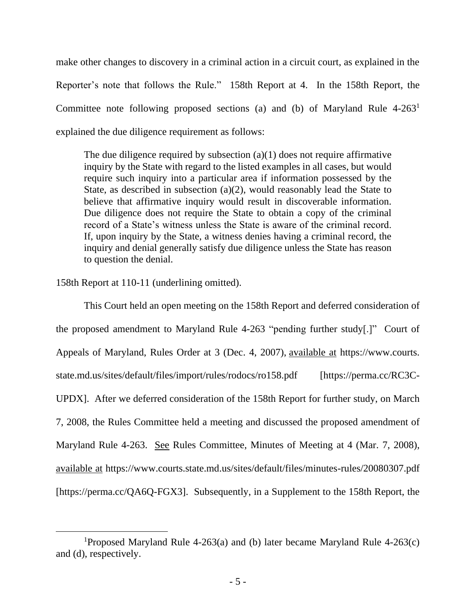make other changes to discovery in a criminal action in a circuit court, as explained in the Reporter's note that follows the Rule." 158th Report at 4. In the 158th Report, the Committee note following proposed sections (a) and (b) of Maryland Rule 4-263<sup>1</sup> explained the due diligence requirement as follows:

The due diligence required by subsection  $(a)(1)$  does not require affirmative inquiry by the State with regard to the listed examples in all cases, but would require such inquiry into a particular area if information possessed by the State, as described in subsection (a)(2), would reasonably lead the State to believe that affirmative inquiry would result in discoverable information. Due diligence does not require the State to obtain a copy of the criminal record of a State's witness unless the State is aware of the criminal record. If, upon inquiry by the State, a witness denies having a criminal record, the inquiry and denial generally satisfy due diligence unless the State has reason to question the denial.

158th Report at 110-11 (underlining omitted).

This Court held an open meeting on the 158th Report and deferred consideration of the proposed amendment to Maryland Rule 4-263 "pending further study[.]" Court of Appeals of Maryland, Rules Order at 3 (Dec. 4, 2007), available at https://www.courts. state.md.us/sites/default/files/import/rules/rodocs/ro158.pdf [https://perma.cc/RC3C-UPDX]. After we deferred consideration of the 158th Report for further study, on March 7, 2008, the Rules Committee held a meeting and discussed the proposed amendment of Maryland Rule 4-263. See Rules Committee, Minutes of Meeting at 4 (Mar. 7, 2008), available at https://www.courts.state.md.us/sites/default/files/minutes-rules/20080307.pdf [https://perma.cc/QA6Q-FGX3]. Subsequently, in a Supplement to the 158th Report, the

<sup>&</sup>lt;sup>1</sup>Proposed Maryland Rule 4-263(a) and (b) later became Maryland Rule 4-263(c) and (d), respectively.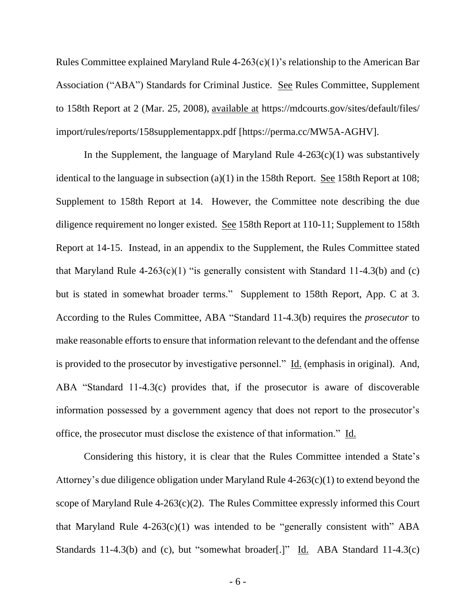Rules Committee explained Maryland Rule 4-263(c)(1)'s relationship to the American Bar Association ("ABA") Standards for Criminal Justice. See Rules Committee, Supplement to 158th Report at 2 (Mar. 25, 2008), available at https://mdcourts.gov/sites/default/files/ import/rules/reports/158supplementappx.pdf [https://perma.cc/MW5A-AGHV].

In the Supplement, the language of Maryland Rule  $4-263(c)(1)$  was substantively identical to the language in subsection  $(a)(1)$  in the 158th Report. See 158th Report at 108; Supplement to 158th Report at 14. However, the Committee note describing the due diligence requirement no longer existed. See 158th Report at 110-11; Supplement to 158th Report at 14-15. Instead, in an appendix to the Supplement, the Rules Committee stated that Maryland Rule  $4-263(c)(1)$  "is generally consistent with Standard 11-4.3(b) and (c) but is stated in somewhat broader terms." Supplement to 158th Report, App. C at 3. According to the Rules Committee, ABA "Standard 11-4.3(b) requires the *prosecutor* to make reasonable efforts to ensure that information relevant to the defendant and the offense is provided to the prosecutor by investigative personnel." Id. (emphasis in original). And, ABA "Standard 11-4.3(c) provides that, if the prosecutor is aware of discoverable information possessed by a government agency that does not report to the prosecutor's office, the prosecutor must disclose the existence of that information." Id.

Considering this history, it is clear that the Rules Committee intended a State's Attorney's due diligence obligation under Maryland Rule 4-263(c)(1) to extend beyond the scope of Maryland Rule  $4-263(c)(2)$ . The Rules Committee expressly informed this Court that Maryland Rule  $4-263(c)(1)$  was intended to be "generally consistent with" ABA Standards 11-4.3(b) and (c), but "somewhat broader[.]" Id. ABA Standard 11-4.3(c)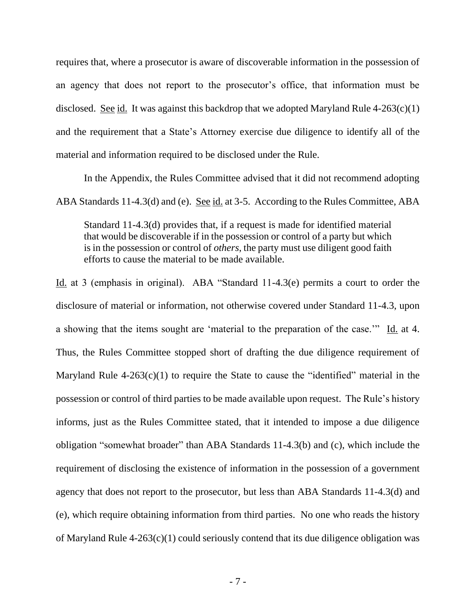requires that, where a prosecutor is aware of discoverable information in the possession of an agency that does not report to the prosecutor's office, that information must be disclosed. See id. It was against this backdrop that we adopted Maryland Rule  $4-263(c)(1)$ and the requirement that a State's Attorney exercise due diligence to identify all of the material and information required to be disclosed under the Rule.

In the Appendix, the Rules Committee advised that it did not recommend adopting ABA Standards 11-4.3(d) and (e). See id. at 3-5. According to the Rules Committee, ABA

Standard 11-4.3(d) provides that, if a request is made for identified material that would be discoverable if in the possession or control of a party but which is in the possession or control of *others*, the party must use diligent good faith efforts to cause the material to be made available.

Id. at 3 (emphasis in original). ABA "Standard 11-4.3(e) permits a court to order the disclosure of material or information, not otherwise covered under Standard 11-4.3, upon a showing that the items sought are 'material to the preparation of the case.'" Id. at 4. Thus, the Rules Committee stopped short of drafting the due diligence requirement of Maryland Rule  $4-263(c)(1)$  to require the State to cause the "identified" material in the possession or control of third parties to be made available upon request. The Rule's history informs, just as the Rules Committee stated, that it intended to impose a due diligence obligation "somewhat broader" than ABA Standards 11-4.3(b) and (c), which include the requirement of disclosing the existence of information in the possession of a government agency that does not report to the prosecutor, but less than ABA Standards 11-4.3(d) and (e), which require obtaining information from third parties. No one who reads the history of Maryland Rule  $4-263(c)(1)$  could seriously contend that its due diligence obligation was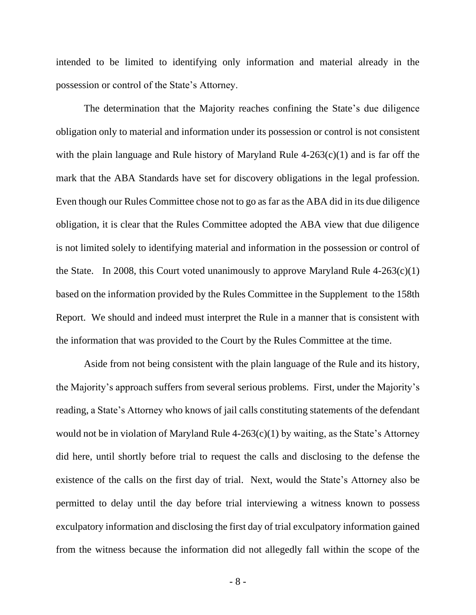intended to be limited to identifying only information and material already in the possession or control of the State's Attorney.

The determination that the Majority reaches confining the State's due diligence obligation only to material and information under its possession or control is not consistent with the plain language and Rule history of Maryland Rule 4-263(c)(1) and is far off the mark that the ABA Standards have set for discovery obligations in the legal profession. Even though our Rules Committee chose not to go as far as the ABA did in its due diligence obligation, it is clear that the Rules Committee adopted the ABA view that due diligence is not limited solely to identifying material and information in the possession or control of the State. In 2008, this Court voted unanimously to approve Maryland Rule  $4-263(c)(1)$ based on the information provided by the Rules Committee in the Supplement to the 158th Report. We should and indeed must interpret the Rule in a manner that is consistent with the information that was provided to the Court by the Rules Committee at the time.

Aside from not being consistent with the plain language of the Rule and its history, the Majority's approach suffers from several serious problems. First, under the Majority's reading, a State's Attorney who knows of jail calls constituting statements of the defendant would not be in violation of Maryland Rule  $4-263(c)(1)$  by waiting, as the State's Attorney did here, until shortly before trial to request the calls and disclosing to the defense the existence of the calls on the first day of trial. Next, would the State's Attorney also be permitted to delay until the day before trial interviewing a witness known to possess exculpatory information and disclosing the first day of trial exculpatory information gained from the witness because the information did not allegedly fall within the scope of the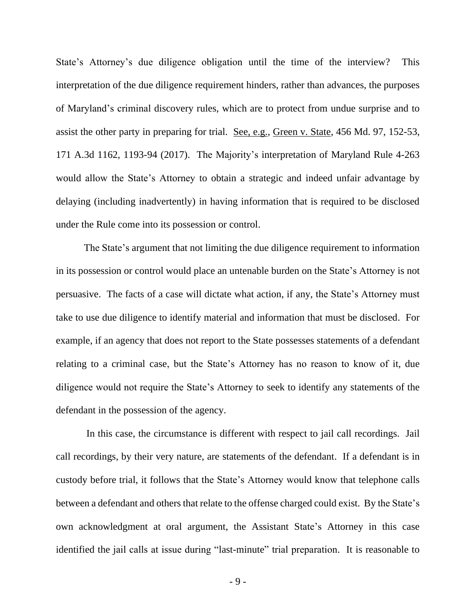State's Attorney's due diligence obligation until the time of the interview? This interpretation of the due diligence requirement hinders, rather than advances, the purposes of Maryland's criminal discovery rules, which are to protect from undue surprise and to assist the other party in preparing for trial. See, e.g., Green v. State, 456 Md. 97, 152-53, 171 A.3d 1162, 1193-94 (2017). The Majority's interpretation of Maryland Rule 4-263 would allow the State's Attorney to obtain a strategic and indeed unfair advantage by delaying (including inadvertently) in having information that is required to be disclosed under the Rule come into its possession or control.

The State's argument that not limiting the due diligence requirement to information in its possession or control would place an untenable burden on the State's Attorney is not persuasive. The facts of a case will dictate what action, if any, the State's Attorney must take to use due diligence to identify material and information that must be disclosed. For example, if an agency that does not report to the State possesses statements of a defendant relating to a criminal case, but the State's Attorney has no reason to know of it, due diligence would not require the State's Attorney to seek to identify any statements of the defendant in the possession of the agency.

In this case, the circumstance is different with respect to jail call recordings. Jail call recordings, by their very nature, are statements of the defendant. If a defendant is in custody before trial, it follows that the State's Attorney would know that telephone calls between a defendant and others that relate to the offense charged could exist. By the State's own acknowledgment at oral argument, the Assistant State's Attorney in this case identified the jail calls at issue during "last-minute" trial preparation. It is reasonable to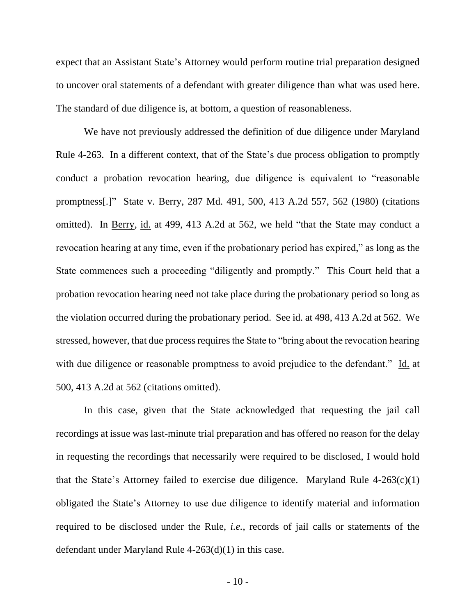expect that an Assistant State's Attorney would perform routine trial preparation designed to uncover oral statements of a defendant with greater diligence than what was used here. The standard of due diligence is, at bottom, a question of reasonableness.

We have not previously addressed the definition of due diligence under Maryland Rule 4-263. In a different context, that of the State's due process obligation to promptly conduct a probation revocation hearing, due diligence is equivalent to "reasonable promptness[.]" State v. Berry, 287 Md. 491, 500, 413 A.2d 557, 562 (1980) (citations omitted). In Berry, id. at 499, 413 A.2d at 562, we held "that the State may conduct a revocation hearing at any time, even if the probationary period has expired," as long as the State commences such a proceeding "diligently and promptly." This Court held that a probation revocation hearing need not take place during the probationary period so long as the violation occurred during the probationary period. See id. at 498, 413 A.2d at 562. We stressed, however, that due process requires the State to "bring about the revocation hearing with due diligence or reasonable promptness to avoid prejudice to the defendant." Id. at 500, 413 A.2d at 562 (citations omitted).

In this case, given that the State acknowledged that requesting the jail call recordings at issue was last-minute trial preparation and has offered no reason for the delay in requesting the recordings that necessarily were required to be disclosed, I would hold that the State's Attorney failed to exercise due diligence. Maryland Rule  $4-263(c)(1)$ obligated the State's Attorney to use due diligence to identify material and information required to be disclosed under the Rule, *i.e.*, records of jail calls or statements of the defendant under Maryland Rule 4-263(d)(1) in this case.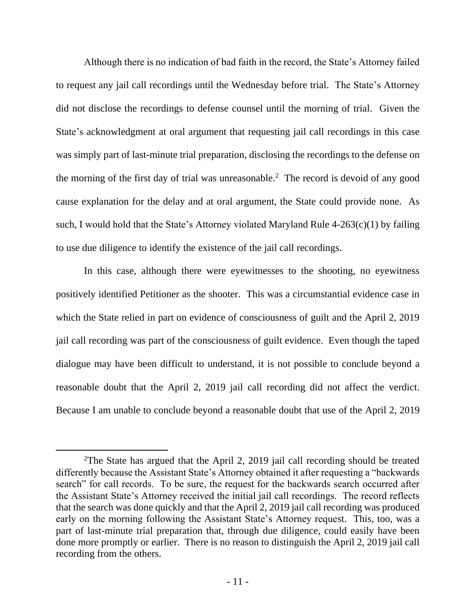Although there is no indication of bad faith in the record, the State's Attorney failed to request any jail call recordings until the Wednesday before trial. The State's Attorney did not disclose the recordings to defense counsel until the morning of trial. Given the State's acknowledgment at oral argument that requesting jail call recordings in this case was simply part of last-minute trial preparation, disclosing the recordings to the defense on the morning of the first day of trial was unreasonable. 2 The record is devoid of any good cause explanation for the delay and at oral argument, the State could provide none. As such, I would hold that the State's Attorney violated Maryland Rule 4-263(c)(1) by failing to use due diligence to identify the existence of the jail call recordings.

In this case, although there were eyewitnesses to the shooting, no eyewitness positively identified Petitioner as the shooter. This was a circumstantial evidence case in which the State relied in part on evidence of consciousness of guilt and the April 2, 2019 jail call recording was part of the consciousness of guilt evidence. Even though the taped dialogue may have been difficult to understand, it is not possible to conclude beyond a reasonable doubt that the April 2, 2019 jail call recording did not affect the verdict. Because I am unable to conclude beyond a reasonable doubt that use of the April 2, 2019

<sup>2</sup>The State has argued that the April 2, 2019 jail call recording should be treated differently because the Assistant State's Attorney obtained it after requesting a "backwards search" for call records. To be sure, the request for the backwards search occurred after the Assistant State's Attorney received the initial jail call recordings. The record reflects that the search was done quickly and that the April 2, 2019 jail call recording was produced early on the morning following the Assistant State's Attorney request. This, too, was a part of last-minute trial preparation that, through due diligence, could easily have been done more promptly or earlier. There is no reason to distinguish the April 2, 2019 jail call recording from the others.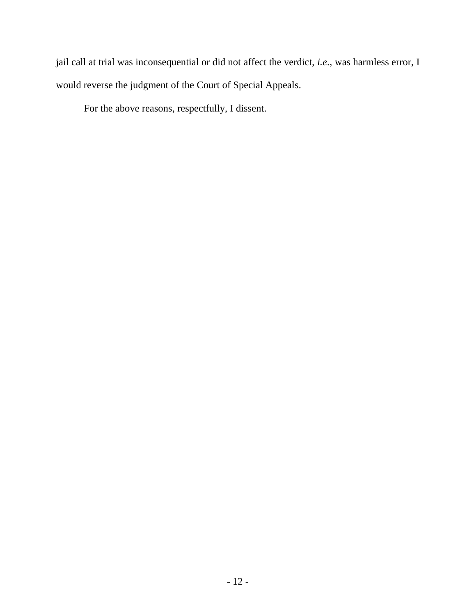jail call at trial was inconsequential or did not affect the verdict, *i.e*., was harmless error, I would reverse the judgment of the Court of Special Appeals.

For the above reasons, respectfully, I dissent.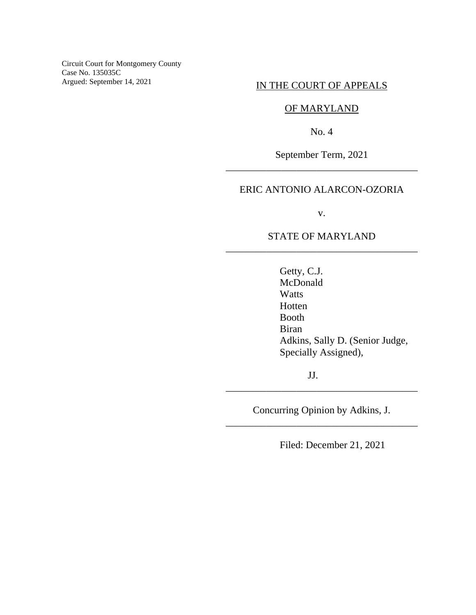Circuit Court for Montgomery County Case No. 135035C Argued: September 14, 2021

# IN THE COURT OF APPEALS

# OF MARYLAND

No. 4

September Term, 2021 \_\_\_\_\_\_\_\_\_\_\_\_\_\_\_\_\_\_\_\_\_\_\_\_\_\_\_\_\_\_\_\_\_\_\_\_\_\_

# ERIC ANTONIO ALARCON-OZORIA

v.

# STATE OF MARYLAND \_\_\_\_\_\_\_\_\_\_\_\_\_\_\_\_\_\_\_\_\_\_\_\_\_\_\_\_\_\_\_\_\_\_\_\_\_\_

Getty, C.J. McDonald Watts Hotten Booth Biran Adkins, Sally D. (Senior Judge, Specially Assigned),

JJ.

Concurring Opinion by Adkins, J. \_\_\_\_\_\_\_\_\_\_\_\_\_\_\_\_\_\_\_\_\_\_\_\_\_\_\_\_\_\_\_\_\_\_\_\_\_\_

\_\_\_\_\_\_\_\_\_\_\_\_\_\_\_\_\_\_\_\_\_\_\_\_\_\_\_\_\_\_\_\_\_\_\_\_\_\_

Filed: December 21, 2021